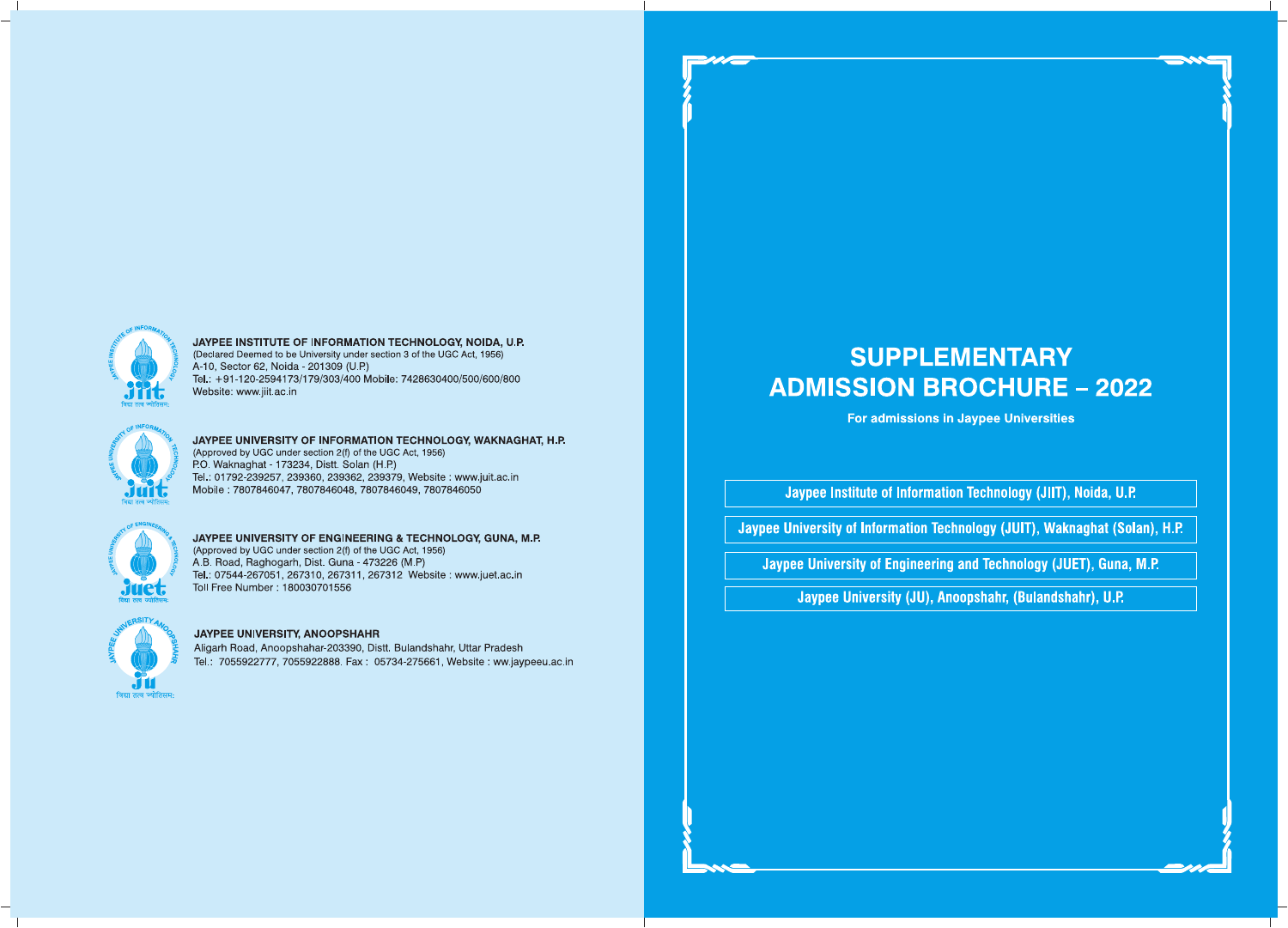# **SUPPLEMENTARY ADMISSION BROCHURE - 2022**

For admissions in Jaypee Universities

Jaypee Institute of Information Technology (JIIT), Noida, U.P.

Jaypee University of Information Technology (JUIT), Waknaghat (Solan), H.P.

Jaypee University of Engineering and Technology (JUET), Guna, M.P.

Jaypee University (JU), Anoopshahr, (Bulandshahr), U.P.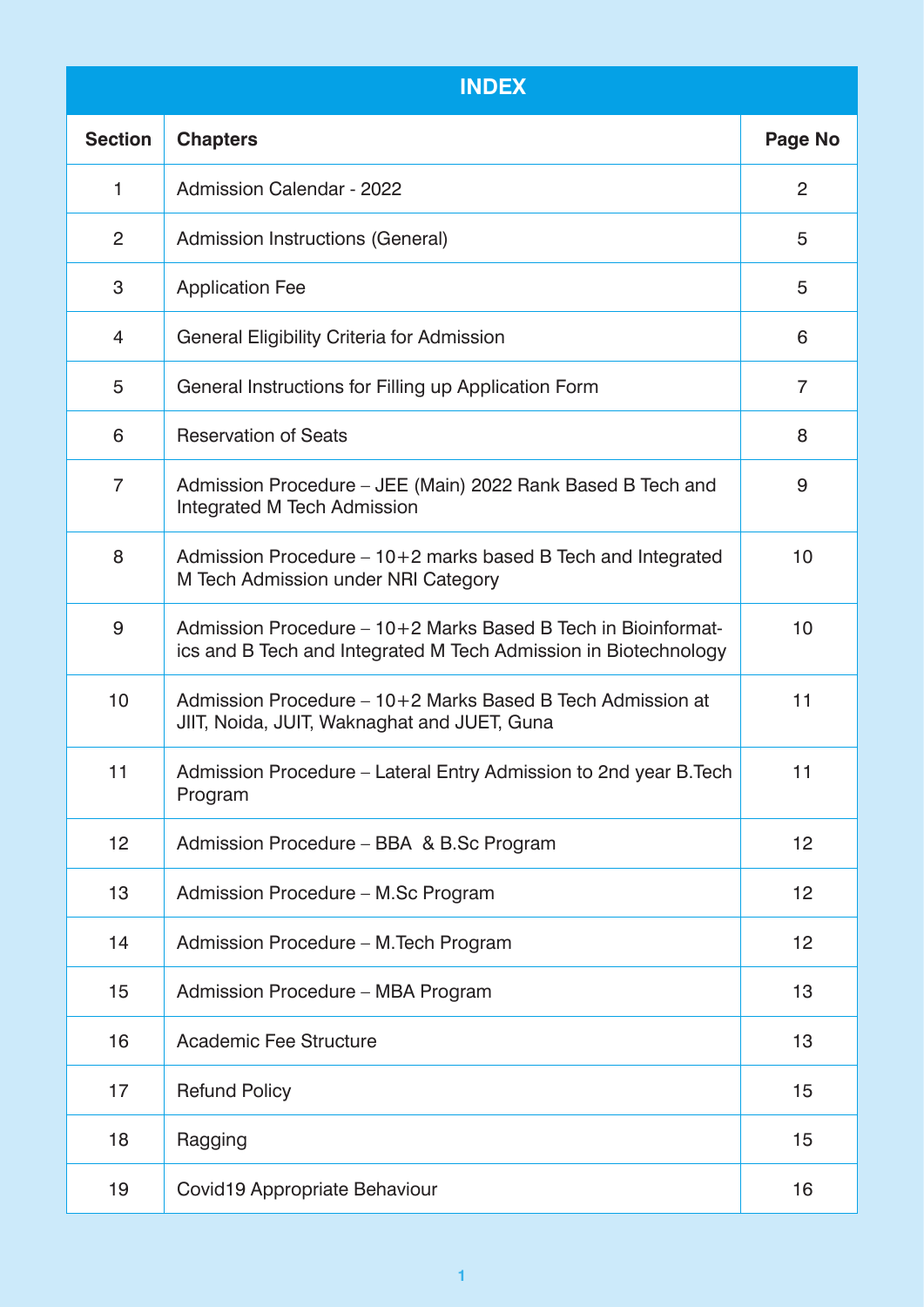| <b>INDEX</b>    |                                                                                                                                  |                |
|-----------------|----------------------------------------------------------------------------------------------------------------------------------|----------------|
| <b>Section</b>  | <b>Chapters</b>                                                                                                                  | Page No        |
| 1               | <b>Admission Calendar - 2022</b>                                                                                                 | $\overline{2}$ |
| 2               | Admission Instructions (General)                                                                                                 | 5              |
| 3               | <b>Application Fee</b>                                                                                                           | 5              |
| 4               | General Eligibility Criteria for Admission                                                                                       | 6              |
| 5               | General Instructions for Filling up Application Form                                                                             | $\overline{7}$ |
| 6               | <b>Reservation of Seats</b>                                                                                                      | 8              |
| $\overline{7}$  | Admission Procedure – JEE (Main) 2022 Rank Based B Tech and<br>Integrated M Tech Admission                                       | 9              |
| 8               | Admission Procedure - 10+2 marks based B Tech and Integrated<br>M Tech Admission under NRI Category                              | 10             |
| 9               | Admission Procedure – 10+2 Marks Based B Tech in Bioinformat-<br>ics and B Tech and Integrated M Tech Admission in Biotechnology | 10             |
| 10              | Admission Procedure – 10+2 Marks Based B Tech Admission at<br>JIIT, Noida, JUIT, Waknaghat and JUET, Guna                        | 11             |
| 11              | Admission Procedure – Lateral Entry Admission to 2nd year B. Tech<br>Program                                                     | 11             |
| 12 <sub>2</sub> | Admission Procedure - BBA & B.Sc Program                                                                                         | 12             |
| 13              | Admission Procedure - M.Sc Program                                                                                               | 12             |
| 14              | Admission Procedure – M. Tech Program                                                                                            | 12             |
| 15              | Admission Procedure - MBA Program                                                                                                | 13             |
| 16              | <b>Academic Fee Structure</b>                                                                                                    | 13             |
| 17              | <b>Refund Policy</b>                                                                                                             | 15             |
| 18              | Ragging                                                                                                                          | 15             |
| 19              | Covid19 Appropriate Behaviour                                                                                                    | 16             |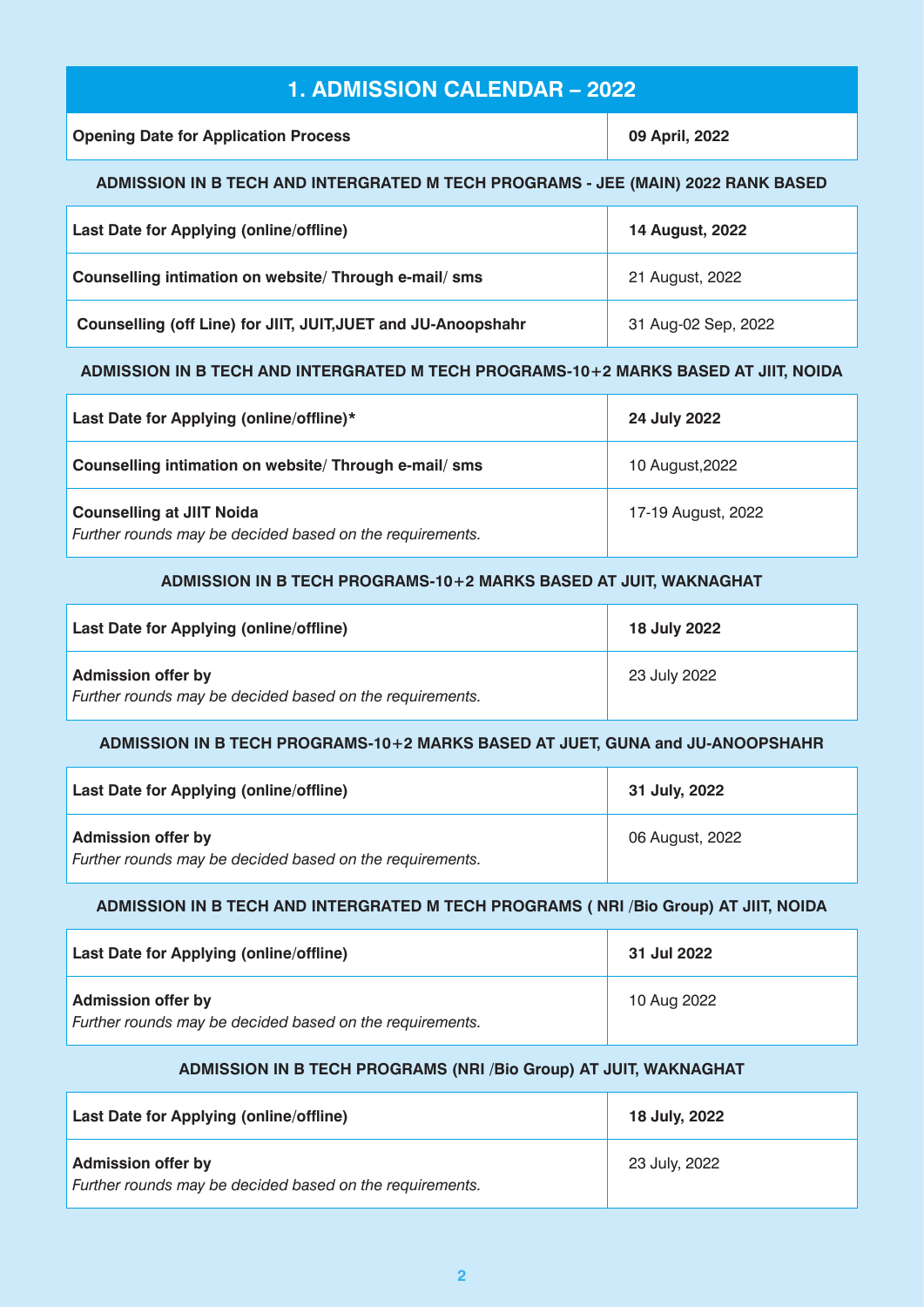# **1. ADMISSION CALENDAR – 2022**

**Opening Date for Application Process 09 April, 2022** 

### **ADMISSION IN B TECH AND INTERGRATED M TECH PROGRAMS - JEE (MAIN) 2022 RANK BASED**

| Last Date for Applying (online/offline)                       | <b>14 August, 2022</b> |
|---------------------------------------------------------------|------------------------|
| Counselling intimation on website/ Through e-mail/ sms        | 21 August, 2022        |
| Counselling (off Line) for JIIT, JUIT, JUET and JU-Anoopshahr | 31 Aug-02 Sep, 2022    |

### **ADMISSION IN B TECH AND INTERGRATED M TECH PROGRAMS-10+2 MARKS BASED AT JIIT, NOIDA**

| Last Date for Applying (online/offline)*                                                     | 24 July 2022       |
|----------------------------------------------------------------------------------------------|--------------------|
| Counselling intimation on website/ Through e-mail/ sms                                       | 10 August, 2022    |
| <b>Counselling at JIIT Noida</b><br>Further rounds may be decided based on the requirements. | 17-19 August, 2022 |

### **ADMISSION IN B TECH PROGRAMS-10+2 MARKS BASED AT JUIT, WAKNAGHAT**

| Last Date for Applying (online/offline)                                               | 18 July 2022 |
|---------------------------------------------------------------------------------------|--------------|
| <b>Admission offer by</b><br>Further rounds may be decided based on the requirements. | 23 July 2022 |

### **ADMISSION IN B TECH PROGRAMS-10+2 MARKS BASED AT JUET, GUNA and JU-ANOOPSHAHR**

| Last Date for Applying (online/offline)                                               | 31 July, 2022   |
|---------------------------------------------------------------------------------------|-----------------|
| <b>Admission offer by</b><br>Further rounds may be decided based on the requirements. | 06 August, 2022 |

### **ADMISSION IN B TECH AND INTERGRATED M TECH PROGRAMS ( NRI /Bio Group) AT JIIT, NOIDA**

| Last Date for Applying (online/offline)                                               | 31 Jul 2022 |
|---------------------------------------------------------------------------------------|-------------|
| <b>Admission offer by</b><br>Further rounds may be decided based on the requirements. | 10 Aug 2022 |

### **ADMISSION IN B TECH PROGRAMS (NRI /Bio Group) AT JUIT, WAKNAGHAT**

| Last Date for Applying (online/offline)                                               | 18 July, 2022 |
|---------------------------------------------------------------------------------------|---------------|
| <b>Admission offer by</b><br>Further rounds may be decided based on the requirements. | 23 July, 2022 |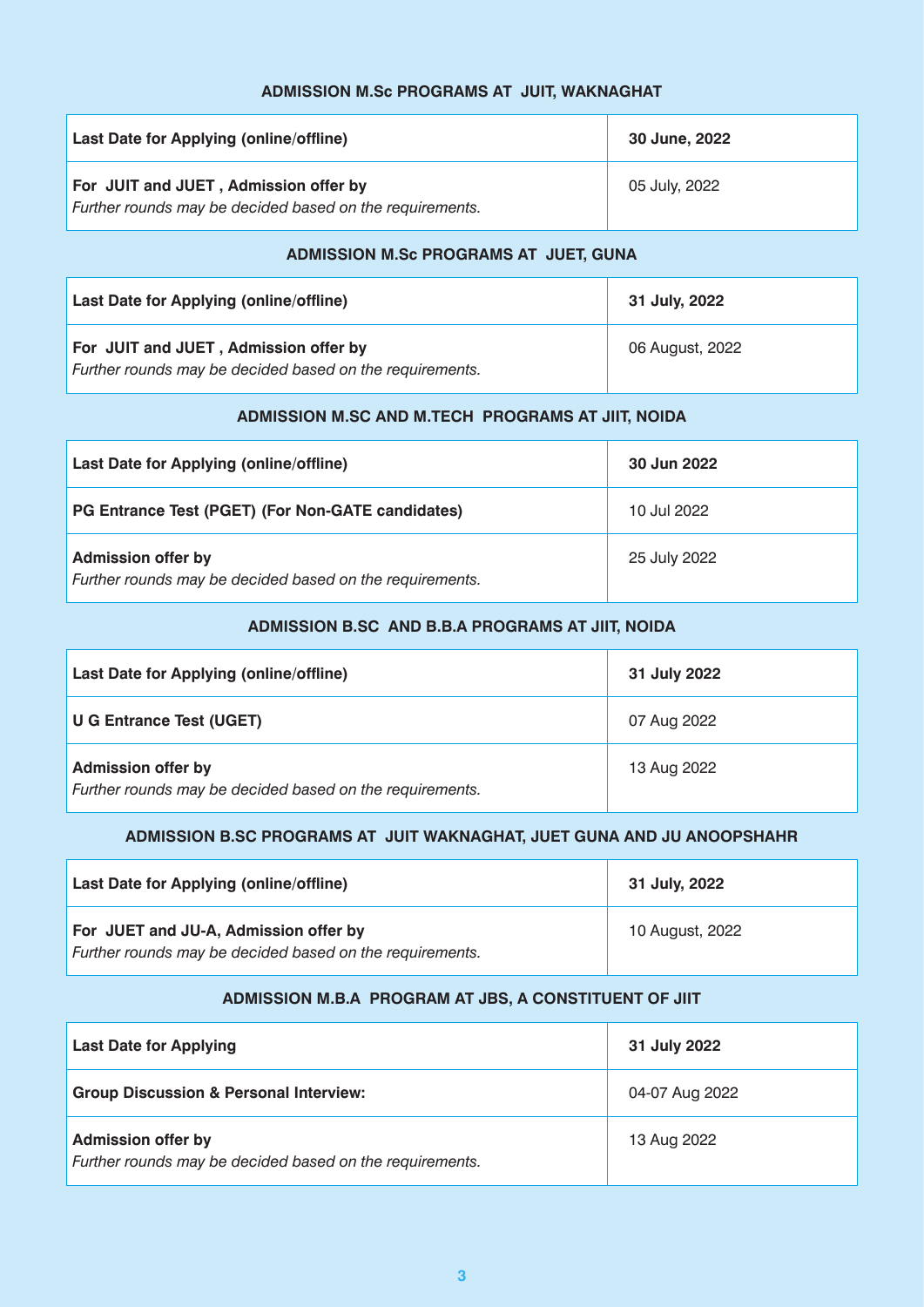### **ADMISSION M.Sc PROGRAMS AT JUIT, WAKNAGHAT**

| Last Date for Applying (online/offline)                                                           | 30 June, 2022 |
|---------------------------------------------------------------------------------------------------|---------------|
| For JUIT and JUET, Admission offer by<br>Further rounds may be decided based on the requirements. | 05 July, 2022 |

#### **ADMISSION M.Sc PROGRAMS AT JUET, GUNA**

| Last Date for Applying (online/offline)                                                           | 31 July, 2022   |
|---------------------------------------------------------------------------------------------------|-----------------|
| For JUIT and JUET, Admission offer by<br>Further rounds may be decided based on the requirements. | 06 August, 2022 |

### **ADMISSION M.SC AND M.TECH PROGRAMS AT JIIT, NOIDA**

| Last Date for Applying (online/offline)                                               | 30 Jun 2022  |
|---------------------------------------------------------------------------------------|--------------|
| PG Entrance Test (PGET) (For Non-GATE candidates)                                     | 10 Jul 2022  |
| <b>Admission offer by</b><br>Further rounds may be decided based on the requirements. | 25 July 2022 |

### **ADMISSION B.SC AND B.B.A PROGRAMS AT JIIT, NOIDA**

| Last Date for Applying (online/offline)                                               | 31 July 2022 |
|---------------------------------------------------------------------------------------|--------------|
| <b>U G Entrance Test (UGET)</b>                                                       | 07 Aug 2022  |
| <b>Admission offer by</b><br>Further rounds may be decided based on the requirements. | 13 Aug 2022  |

### **ADMISSION B.SC PROGRAMS AT JUIT WAKNAGHAT, JUET GUNA AND JU ANOOPSHAHR**

| Last Date for Applying (online/offline)                                                           | 31 July, 2022   |
|---------------------------------------------------------------------------------------------------|-----------------|
| For JUET and JU-A, Admission offer by<br>Further rounds may be decided based on the requirements. | 10 August, 2022 |

#### **ADMISSION M.B.A PROGRAM AT JBS, A CONSTITUENT OF JIIT**

| <b>Last Date for Applying</b>                                                         | 31 July 2022   |
|---------------------------------------------------------------------------------------|----------------|
| <b>Group Discussion &amp; Personal Interview:</b>                                     | 04-07 Aug 2022 |
| <b>Admission offer by</b><br>Further rounds may be decided based on the requirements. | 13 Aug 2022    |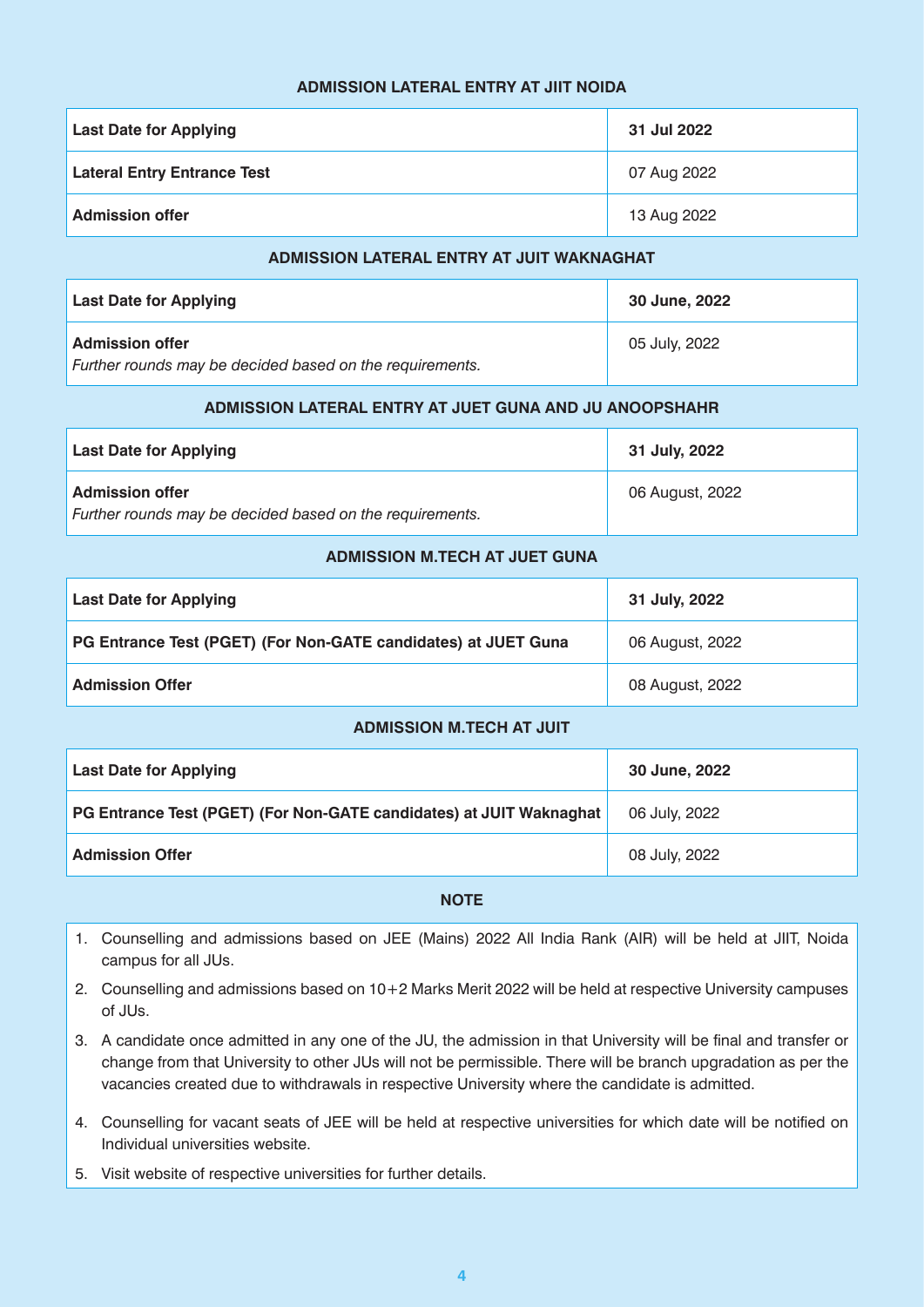#### **ADMISSION LATERAL ENTRY AT JIIT NOIDA**

| <b>Last Date for Applying</b>      | 31 Jul 2022 |
|------------------------------------|-------------|
| <b>Lateral Entry Entrance Test</b> | 07 Aug 2022 |
| <b>Admission offer</b>             | 13 Aug 2022 |

#### **ADMISSION LATERAL ENTRY AT JUIT WAKNAGHAT**

| <b>Last Date for Applying</b>                                                      | 30 June, 2022 |
|------------------------------------------------------------------------------------|---------------|
| <b>Admission offer</b><br>Further rounds may be decided based on the requirements. | 05 July, 2022 |

#### **ADMISSION LATERAL ENTRY AT JUET GUNA AND JU ANOOPSHAHR**

| <b>Last Date for Applying</b>                            | 31 July, 2022   |
|----------------------------------------------------------|-----------------|
| <b>Admission offer</b>                                   | 06 August, 2022 |
| Further rounds may be decided based on the requirements. |                 |

#### **ADMISSION M.TECH AT JUET GUNA**

| <b>Last Date for Applying</b>                                  | 31 July, 2022   |
|----------------------------------------------------------------|-----------------|
| PG Entrance Test (PGET) (For Non-GATE candidates) at JUET Guna | 06 August, 2022 |
| <b>Admission Offer</b>                                         | 08 August, 2022 |

#### **ADMISSION M.TECH AT JUIT**

| <b>Last Date for Applying</b>                                       | 30 June, 2022 |
|---------------------------------------------------------------------|---------------|
| PG Entrance Test (PGET) (For Non-GATE candidates) at JUIT Waknaghat | 06 July, 2022 |
| <b>Admission Offer</b>                                              | 08 July, 2022 |

#### **NOTE**

- 1. Counselling and admissions based on JEE (Mains) 2022 All India Rank (AIR) will be held at JIIT, Noida campus for all JUs.
- 2. Counselling and admissions based on 10+2 Marks Merit 2022 will be held at respective University campuses of JUs.
- 3. A candidate once admitted in any one of the JU, the admission in that University will be final and transfer or change from that University to other JUs will not be permissible. There will be branch upgradation as per the vacancies created due to withdrawals in respective University where the candidate is admitted.
- 4. Counselling for vacant seats of JEE will be held at respective universities for which date will be notified on Individual universities website.
- 5. Visit website of respective universities for further details.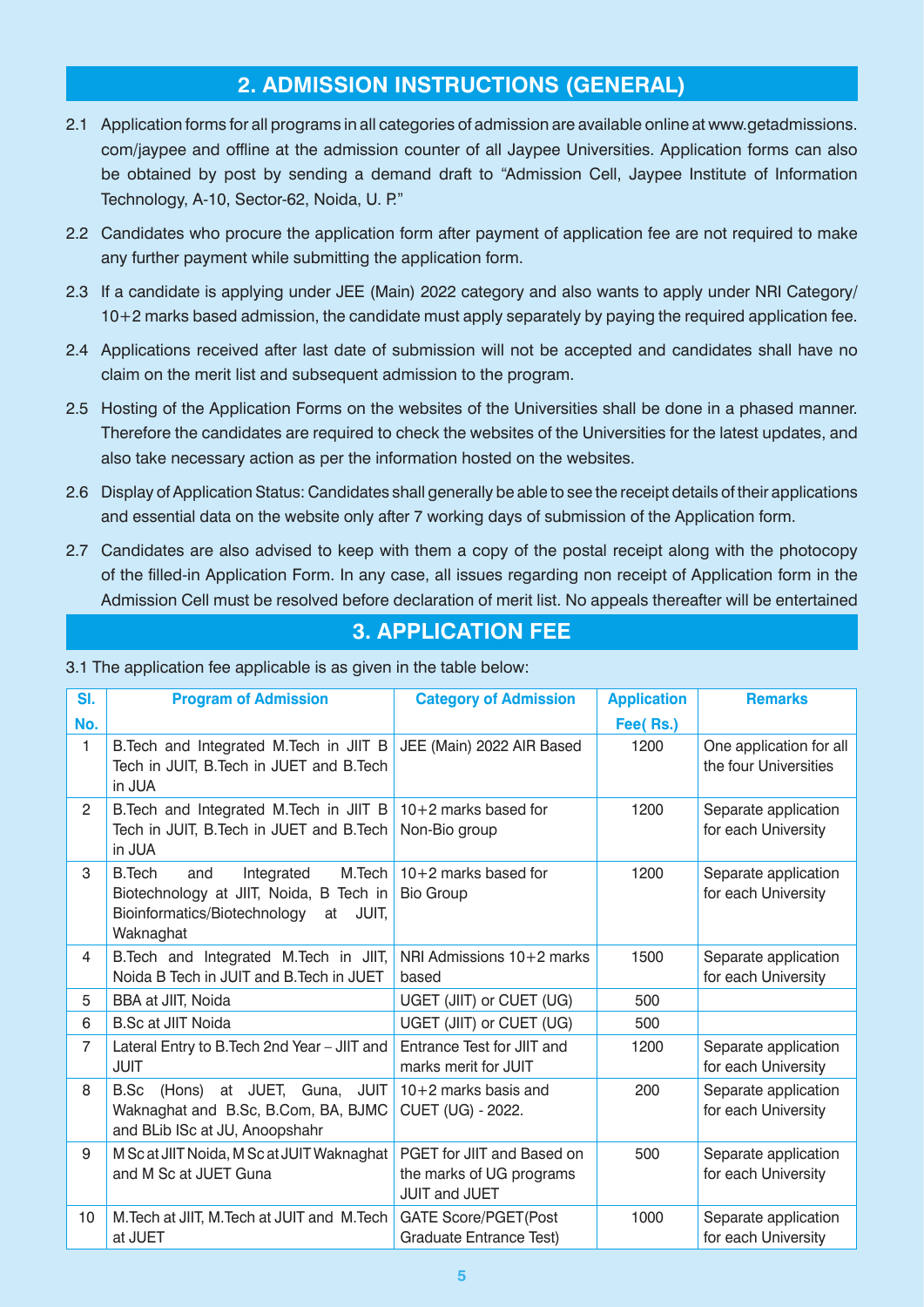# **2. ADMISSION INSTRUCTIONS (GENERAL)**

- 2.1 Application forms for all programs in all categories of admission are available online at www.getadmissions. com/jaypee and offline at the admission counter of all Jaypee Universities. Application forms can also be obtained by post by sending a demand draft to "Admission Cell, Jaypee Institute of Information Technology, A-10, Sector-62, Noida, U. P."
- 2.2 Candidates who procure the application form after payment of application fee are not required to make any further payment while submitting the application form.
- 2.3 If a candidate is applying under JEE (Main) 2022 category and also wants to apply under NRI Category/ 10+2 marks based admission, the candidate must apply separately by paying the required application fee.
- 2.4 Applications received after last date of submission will not be accepted and candidates shall have no claim on the merit list and subsequent admission to the program.
- 2.5 Hosting of the Application Forms on the websites of the Universities shall be done in a phased manner. Therefore the candidates are required to check the websites of the Universities for the latest updates, and also take necessary action as per the information hosted on the websites.
- 2.6 Display of Application Status: Candidates shall generally be able to see the receipt details of their applications and essential data on the website only after 7 working days of submission of the Application form.
- 2.7 Candidates are also advised to keep with them a copy of the postal receipt along with the photocopy of the filled-in Application Form. In any case, all issues regarding non receipt of Application form in the Admission Cell must be resolved before declaration of merit list. No appeals thereafter will be entertained

# **3. APPLICATION FEE**

3.1 The application fee applicable is as given in the table below:

| SI.            | <b>Program of Admission</b>                                                                                                                   | <b>Category of Admission</b>                                                   | <b>Application</b> | <b>Remarks</b>                                   |
|----------------|-----------------------------------------------------------------------------------------------------------------------------------------------|--------------------------------------------------------------------------------|--------------------|--------------------------------------------------|
| No.            |                                                                                                                                               |                                                                                | Fee(Rs.)           |                                                  |
| $\mathbf{1}$   | B. Tech and Integrated M. Tech in JIIT B<br>Tech in JUIT, B.Tech in JUET and B.Tech<br>in JUA                                                 | JEE (Main) 2022 AIR Based                                                      | 1200               | One application for all<br>the four Universities |
| $\overline{2}$ | B. Tech and Integrated M. Tech in JIIT B<br>Tech in JUIT, B.Tech in JUET and B.Tech<br>in JUA                                                 | $10+2$ marks based for<br>Non-Bio group                                        | 1200               | Separate application<br>for each University      |
| 3              | M.Tech<br><b>B.Tech</b><br>Integrated<br>and<br>Biotechnology at JIIT, Noida, B Tech in<br>Bioinformatics/Biotechnology at JUIT,<br>Waknaghat | $10+2$ marks based for<br><b>Bio Group</b>                                     | 1200               | Separate application<br>for each University      |
| 4              | B. Tech and Integrated M. Tech in JIIT,<br>Noida B Tech in JUIT and B.Tech in JUET                                                            | NRI Admissions 10+2 marks<br>based                                             | 1500               | Separate application<br>for each University      |
| 5              | BBA at JIIT, Noida                                                                                                                            | UGET (JIIT) or CUET (UG)                                                       | 500                |                                                  |
| 6              | <b>B.Sc at JIIT Noida</b>                                                                                                                     | UGET (JIIT) or CUET (UG)                                                       | 500                |                                                  |
| $\overline{7}$ | Lateral Entry to B. Tech 2nd Year - JIIT and<br><b>JUIT</b>                                                                                   | Entrance Test for JIIT and<br>marks merit for JUIT                             | 1200               | Separate application<br>for each University      |
| 8              | (Hons) at JUET, Guna,<br><b>JUIT</b><br>B.Sc<br>Waknaghat and B.Sc, B.Com, BA, BJMC<br>and BLib ISc at JU, Anoopshahr                         | $10+2$ marks basis and<br>CUET (UG) - 2022.                                    | 200                | Separate application<br>for each University      |
| 9              | M Sc at JIIT Noida, M Sc at JUIT Waknaghat<br>and M Sc at JUET Guna                                                                           | PGET for JIIT and Based on<br>the marks of UG programs<br><b>JUIT and JUET</b> | 500                | Separate application<br>for each University      |
| 10             | M. Tech at JIIT, M. Tech at JUIT and M. Tech<br>at JUET                                                                                       | <b>GATE Score/PGET(Post</b><br><b>Graduate Entrance Test)</b>                  | 1000               | Separate application<br>for each University      |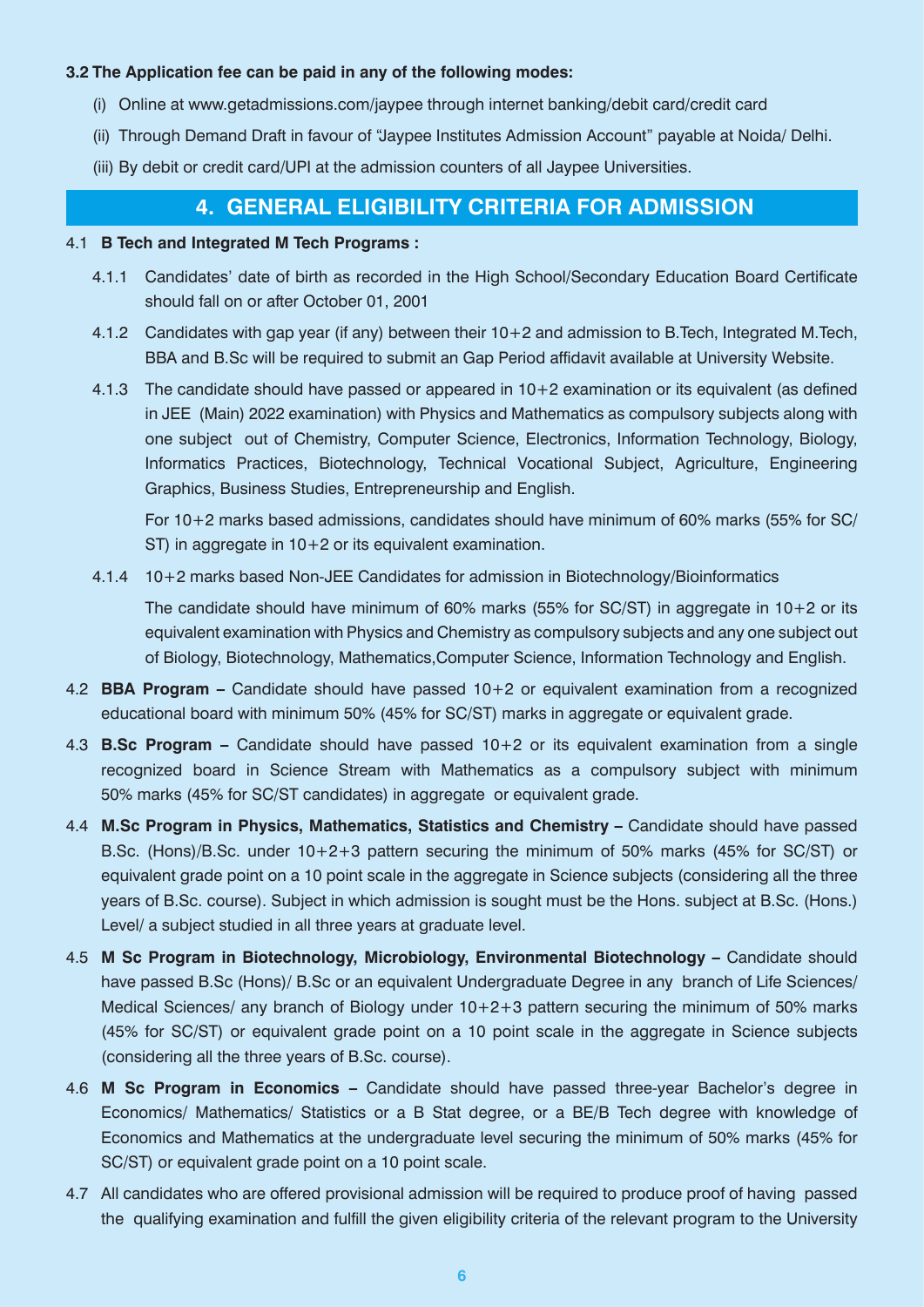#### **3.2 The Application fee can be paid in any of the following modes:**

- (i) Online at www.getadmissions.com/jaypee through internet banking/debit card/credit card
- (ii) Through Demand Draft in favour of "Jaypee Institutes Admission Account" payable at Noida/ Delhi.
- (iii) By debit or credit card/UPI at the admission counters of all Jaypee Universities.

### **4. GENERAL ELIGIBILITY CRITERIA FOR ADMISSION**

#### 4.1 **B Tech and Integrated M Tech Programs :**

- 4.1.1 Candidates' date of birth as recorded in the High School/Secondary Education Board Certificate should fall on or after October 01, 2001
- 4.1.2 Candidates with gap year (if any) between their 10+2 and admission to B.Tech, Integrated M.Tech, BBA and B.Sc will be required to submit an Gap Period affidavit available at University Website.
- 4.1.3 The candidate should have passed or appeared in 10+2 examination or its equivalent (as defined in JEE (Main) 2022 examination) with Physics and Mathematics as compulsory subjects along with one subject out of Chemistry, Computer Science, Electronics, Information Technology, Biology, Informatics Practices, Biotechnology, Technical Vocational Subject, Agriculture, Engineering Graphics, Business Studies, Entrepreneurship and English.

 For 10+2 marks based admissions, candidates should have minimum of 60% marks (55% for SC/ ST) in aggregate in 10+2 or its equivalent examination.

4.1.4 10+2 marks based Non-JEE Candidates for admission in Biotechnology/Bioinformatics

 The candidate should have minimum of 60% marks (55% for SC/ST) in aggregate in 10+2 or its equivalent examination with Physics and Chemistry as compulsory subjects and any one subject out of Biology, Biotechnology, Mathematics,Computer Science, Information Technology and English.

- 4.2 **BBA Program –** Candidate should have passed 10+2 or equivalent examination from a recognized educational board with minimum 50% (45% for SC/ST) marks in aggregate or equivalent grade.
- 4.3 **B.Sc Program –** Candidate should have passed 10+2 or its equivalent examination from a single recognized board in Science Stream with Mathematics as a compulsory subject with minimum 50% marks (45% for SC/ST candidates) in aggregate or equivalent grade.
- 4.4 **M.Sc Program in Physics, Mathematics, Statistics and Chemistry –** Candidate should have passed B.Sc. (Hons)/B.Sc. under 10+2+3 pattern securing the minimum of 50% marks (45% for SC/ST) or equivalent grade point on a 10 point scale in the aggregate in Science subjects (considering all the three years of B.Sc. course). Subject in which admission is sought must be the Hons. subject at B.Sc. (Hons.) Level/ a subject studied in all three years at graduate level.
- 4.5 **M Sc Program in Biotechnology, Microbiology, Environmental Biotechnology** Candidate should have passed B.Sc (Hons)/ B.Sc or an equivalent Undergraduate Degree in any branch of Life Sciences/ Medical Sciences/ any branch of Biology under 10+2+3 pattern securing the minimum of 50% marks (45% for SC/ST) or equivalent grade point on a 10 point scale in the aggregate in Science subjects (considering all the three years of B.Sc. course).
- 4.6 **M Sc Program in Economics –** Candidate should have passed three-year Bachelor's degree in Economics/ Mathematics/ Statistics or a B Stat degree, or a BE/B Tech degree with knowledge of Economics and Mathematics at the undergraduate level securing the minimum of 50% marks (45% for SC/ST) or equivalent grade point on a 10 point scale.
- 4.7 All candidates who are offered provisional admission will be required to produce proof of having passed the qualifying examination and fulfill the given eligibility criteria of the relevant program to the University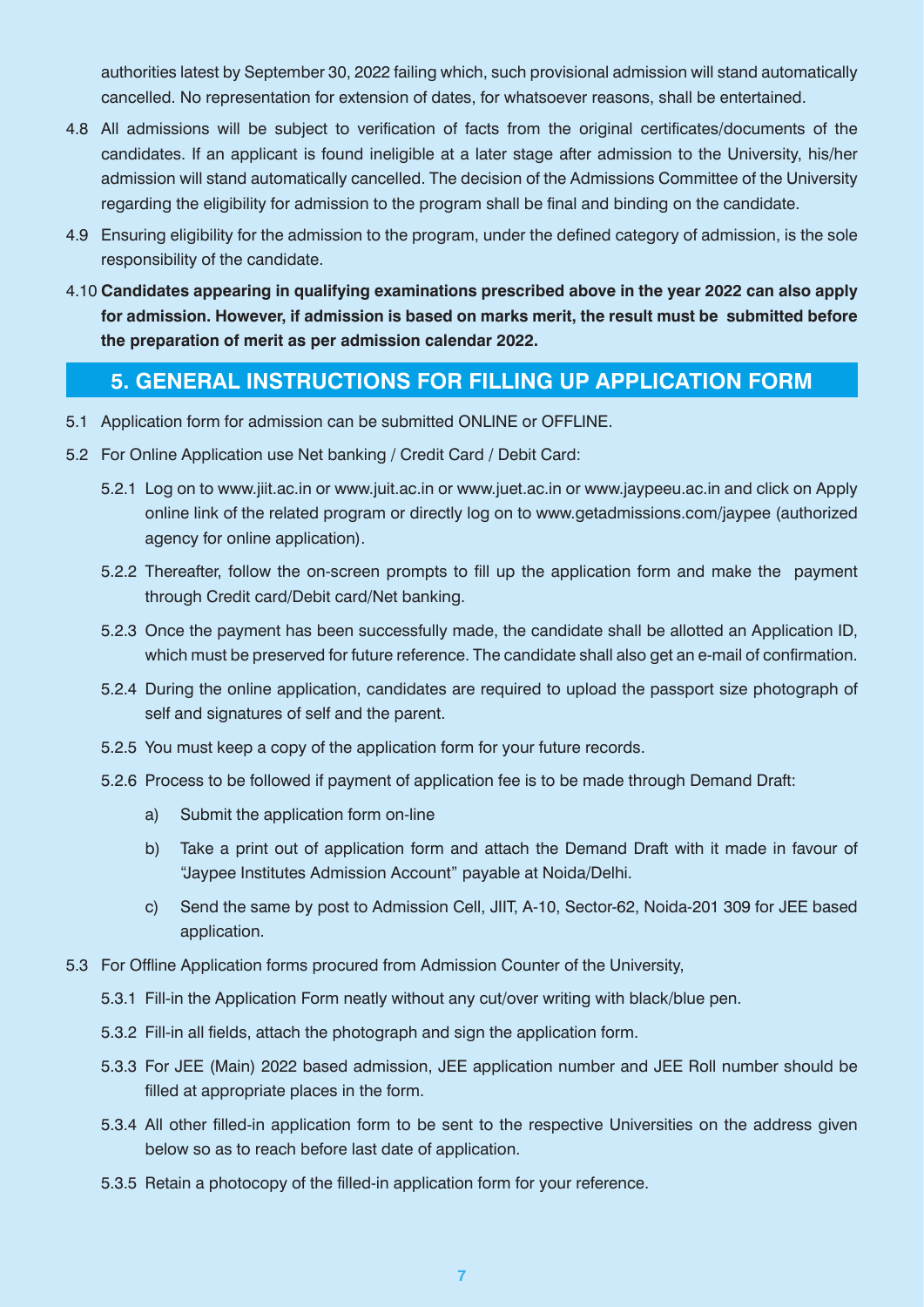authorities latest by September 30, 2022 failing which, such provisional admission will stand automatically cancelled. No representation for extension of dates, for whatsoever reasons, shall be entertained.

- 4.8 All admissions will be subject to verification of facts from the original certificates/documents of the candidates. If an applicant is found ineligible at a later stage after admission to the University, his/her admission will stand automatically cancelled. The decision of the Admissions Committee of the University regarding the eligibility for admission to the program shall be final and binding on the candidate.
- 4.9 Ensuring eligibility for the admission to the program, under the defined category of admission, is the sole responsibility of the candidate.
- 4.10 **Candidates appearing in qualifying examinations prescribed above in the year 2022 can also apply for admission. However, if admission is based on marks merit, the result must be submitted before the preparation of merit as per admission calendar 2022.**

# **5. GENERAL INSTRUCTIONS FOR FILLING UP APPLICATION FORM**

- 5.1 Application form for admission can be submitted ONLINE or OFFLINE.
- 5.2 For Online Application use Net banking / Credit Card / Debit Card:
	- 5.2.1 Log on to www.jiit.ac.in or www.juit.ac.in or www.juet.ac.in or www.jaypeeu.ac.in and click on Apply online link of the related program or directly log on to www.getadmissions.com/jaypee (authorized agency for online application).
	- 5.2.2 Thereafter, follow the on-screen prompts to fill up the application form and make the payment through Credit card/Debit card/Net banking.
	- 5.2.3 Once the payment has been successfully made, the candidate shall be allotted an Application ID, which must be preserved for future reference. The candidate shall also get an e-mail of confirmation.
	- 5.2.4 During the online application, candidates are required to upload the passport size photograph of self and signatures of self and the parent.
	- 5.2.5 You must keep a copy of the application form for your future records.
	- 5.2.6 Process to be followed if payment of application fee is to be made through Demand Draft:
		- a) Submit the application form on-line
		- b) Take a print out of application form and attach the Demand Draft with it made in favour of "Jaypee Institutes Admission Account" payable at Noida/Delhi.
		- c) Send the same by post to Admission Cell, JIIT, A-10, Sector-62, Noida-201 309 for JEE based application.
- 5.3 For Offline Application forms procured from Admission Counter of the University,
	- 5.3.1 Fill-in the Application Form neatly without any cut/over writing with black/blue pen.
	- 5.3.2 Fill-in all fields, attach the photograph and sign the application form.
	- 5.3.3 For JEE (Main) 2022 based admission, JEE application number and JEE Roll number should be filled at appropriate places in the form.
	- 5.3.4 All other filled-in application form to be sent to the respective Universities on the address given below so as to reach before last date of application.
	- 5.3.5 Retain a photocopy of the filled-in application form for your reference.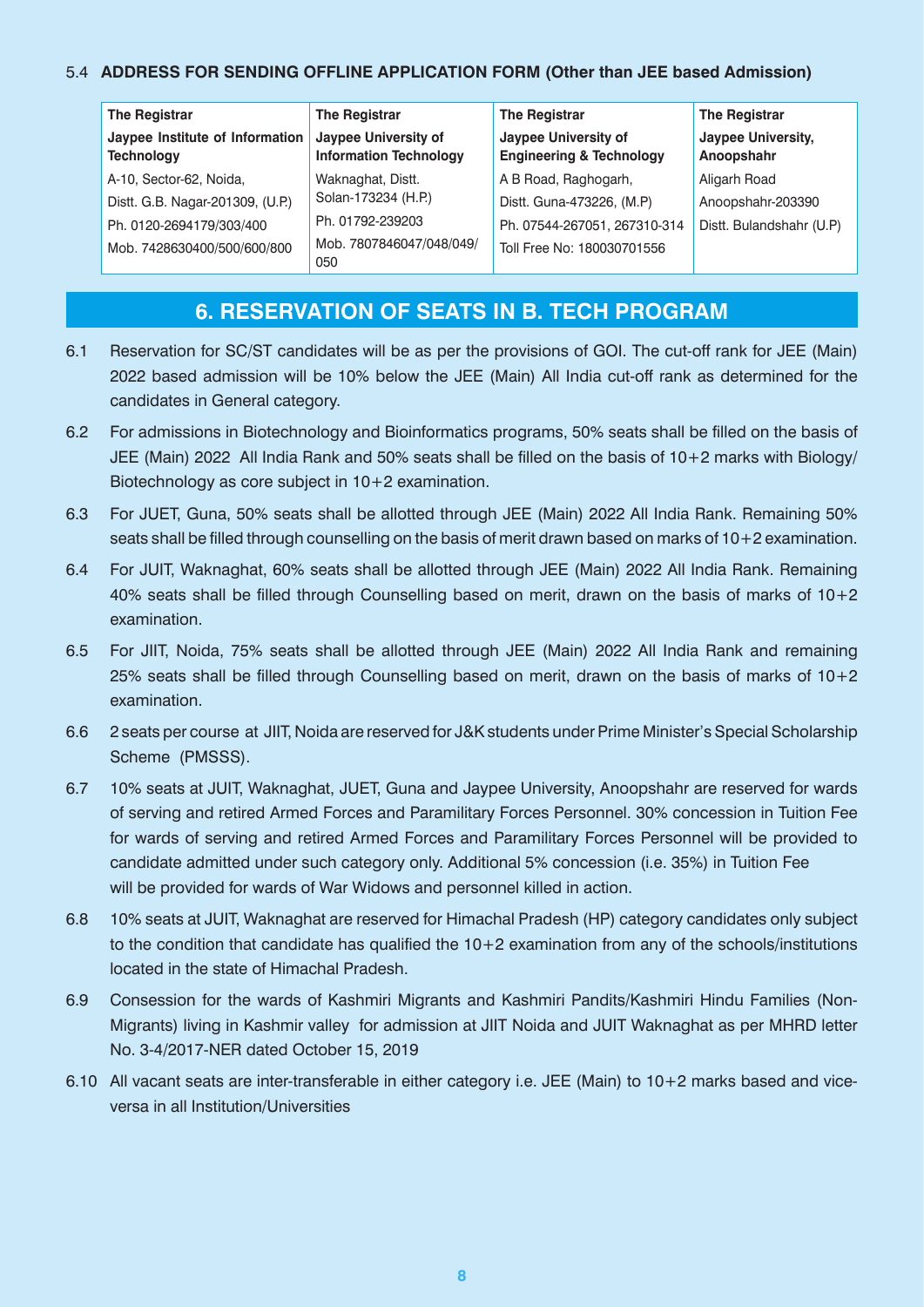### 5.4 **ADDRESS FOR SENDING OFFLINE APPLICATION FORM (Other than JEE based Admission)**

| <b>The Registrar</b>                                 | <b>The Registrar</b>                                  | <b>The Registrar</b>                                        | <b>The Registrar</b>                    |
|------------------------------------------------------|-------------------------------------------------------|-------------------------------------------------------------|-----------------------------------------|
| Jaypee Institute of Information<br><b>Technology</b> | Jaypee University of<br><b>Information Technology</b> | Jaypee University of<br><b>Engineering &amp; Technology</b> | <b>Jaypee University,</b><br>Anoopshahr |
| A-10, Sector-62, Noida,                              | Waknaghat, Distt.                                     | A B Road, Raghogarh,                                        | Aligarh Road                            |
| Distt. G.B. Nagar-201309, (U.P.)                     | Solan-173234 (H.P.)                                   | Distt. Guna-473226, (M.P)                                   | Anoopshahr-203390                       |
| Ph. 0120-2694179/303/400                             | Ph. 01792-239203                                      | Ph. 07544-267051, 267310-314                                | Distt. Bulandshahr (U.P)                |
| Mob. 7428630400/500/600/800                          | Mob. 7807846047/048/049/<br>050                       | Toll Free No: 180030701556                                  |                                         |

# **6. RESERVATION OF SEATS IN B. TECH PROGRAM**

- 6.1 Reservation for SC/ST candidates will be as per the provisions of GOI. The cut-off rank for JEE (Main) 2022 based admission will be 10% below the JEE (Main) All India cut-off rank as determined for the candidates in General category.
- 6.2 For admissions in Biotechnology and Bioinformatics programs, 50% seats shall be filled on the basis of JEE (Main) 2022 All India Rank and 50% seats shall be filled on the basis of 10+2 marks with Biology/ Biotechnology as core subject in 10+2 examination.
- 6.3 For JUET, Guna, 50% seats shall be allotted through JEE (Main) 2022 All India Rank. Remaining 50% seats shall be filled through counselling on the basis of merit drawn based on marks of 10+2 examination.
- 6.4 For JUIT, Waknaghat, 60% seats shall be allotted through JEE (Main) 2022 All India Rank. Remaining 40% seats shall be filled through Counselling based on merit, drawn on the basis of marks of 10+2 examination.
- 6.5 For JIIT, Noida, 75% seats shall be allotted through JEE (Main) 2022 All India Rank and remaining 25% seats shall be filled through Counselling based on merit, drawn on the basis of marks of 10+2 examination.
- 6.6 2 seats per course at JIIT, Noida are reserved for J&K students under Prime Minister's Special Scholarship Scheme (PMSSS).
- 6.7 10% seats at JUIT, Waknaghat, JUET, Guna and Jaypee University, Anoopshahr are reserved for wards of serving and retired Armed Forces and Paramilitary Forces Personnel. 30% concession in Tuition Fee for wards of serving and retired Armed Forces and Paramilitary Forces Personnel will be provided to candidate admitted under such category only. Additional 5% concession (i.e. 35%) in Tuition Fee will be provided for wards of War Widows and personnel killed in action.
- 6.8 10% seats at JUIT, Waknaghat are reserved for Himachal Pradesh (HP) category candidates only subject to the condition that candidate has qualified the 10+2 examination from any of the schools/institutions located in the state of Himachal Pradesh.
- 6.9 Consession for the wards of Kashmiri Migrants and Kashmiri Pandits/Kashmiri Hindu Families (Non-Migrants) living in Kashmir valley for admission at JIIT Noida and JUIT Waknaghat as per MHRD letter No. 3-4/2017-NER dated October 15, 2019
- 6.10 All vacant seats are inter-transferable in either category i.e. JEE (Main) to 10+2 marks based and viceversa in all Institution/Universities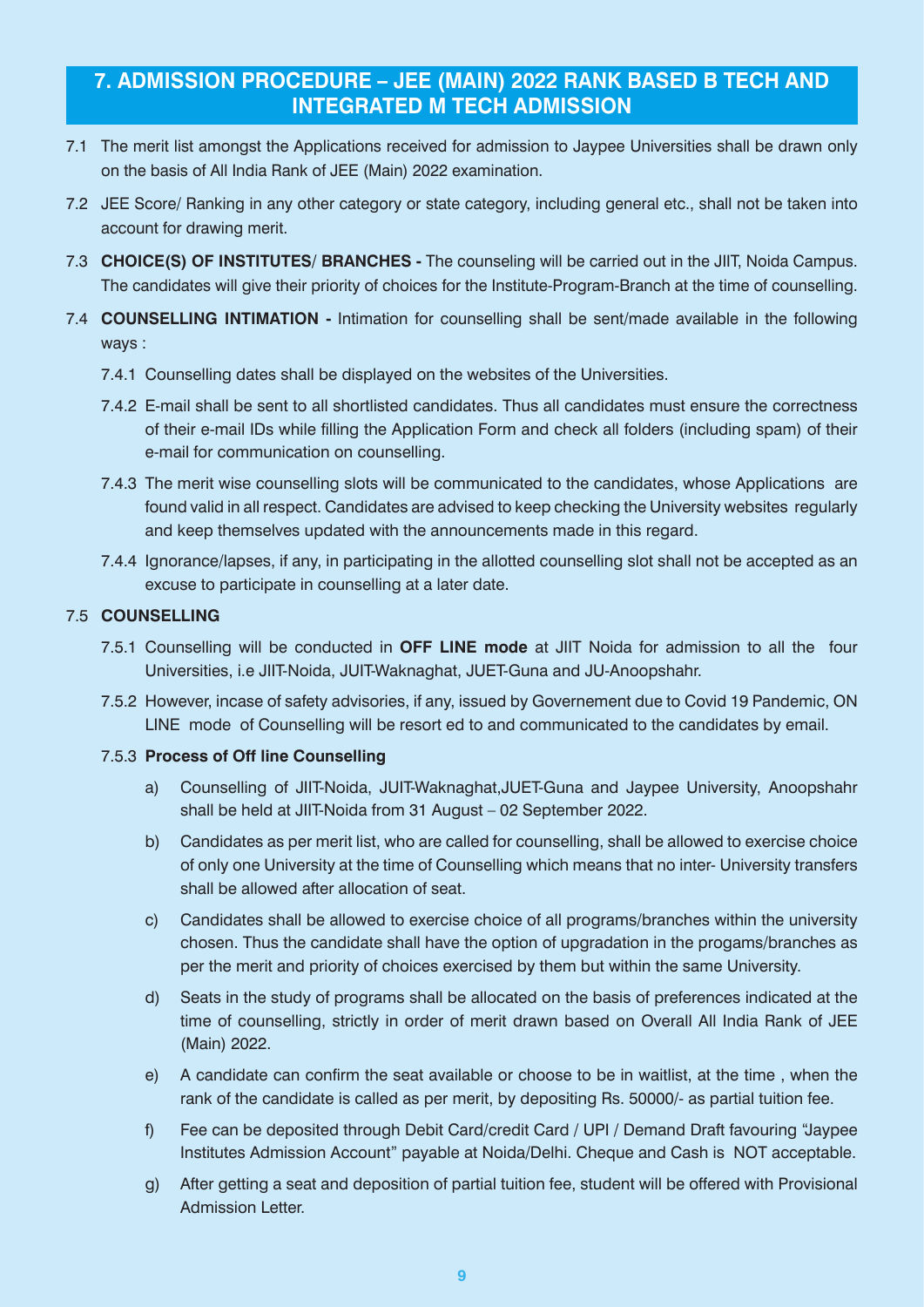# **7. ADMISSION PROCEDURE – JEE (MAIN) 2022 RANK BASED B TECH AND INTEGRATED M TECH ADMISSION**

- 7.1 The merit list amongst the Applications received for admission to Jaypee Universities shall be drawn only on the basis of All India Rank of JEE (Main) 2022 examination.
- 7.2 JEE Score/ Ranking in any other category or state category, including general etc., shall not be taken into account for drawing merit.
- 7.3 **CHOICE(S) OF INSTITUTES/ BRANCHES -** The counseling will be carried out in the JIIT, Noida Campus. The candidates will give their priority of choices for the Institute-Program-Branch at the time of counselling.
- 7.4 **COUNSELLING INTIMATION -** Intimation for counselling shall be sent/made available in the following ways :
	- 7.4.1 Counselling dates shall be displayed on the websites of the Universities.
	- 7.4.2 E-mail shall be sent to all shortlisted candidates. Thus all candidates must ensure the correctness of their e-mail IDs while filling the Application Form and check all folders (including spam) of their e-mail for communication on counselling.
	- 7.4.3 The merit wise counselling slots will be communicated to the candidates, whose Applications are found valid in all respect. Candidates are advised to keep checking the University websites regularly and keep themselves updated with the announcements made in this regard.
	- 7.4.4 Ignorance/lapses, if any, in participating in the allotted counselling slot shall not be accepted as an excuse to participate in counselling at a later date.

#### 7.5 **COUNSELLING**

- 7.5.1 Counselling will be conducted in **OFF LINE mode** at JIIT Noida for admission to all the four Universities, i.e JIIT-Noida, JUIT-Waknaghat, JUET-Guna and JU-Anoopshahr.
- 7.5.2 However, incase of safety advisories, if any, issued by Governement due to Covid 19 Pandemic, ON LINE mode of Counselling will be resort ed to and communicated to the candidates by email.

#### 7.5.3 **Process of Off line Counselling**

- a) Counselling of JIIT-Noida, JUIT-Waknaghat,JUET-Guna and Jaypee University, Anoopshahr shall be held at JIIT-Noida from 31 August – 02 September 2022.
- b) Candidates as per merit list, who are called for counselling, shall be allowed to exercise choice of only one University at the time of Counselling which means that no inter- University transfers shall be allowed after allocation of seat.
- c) Candidates shall be allowed to exercise choice of all programs/branches within the university chosen. Thus the candidate shall have the option of upgradation in the progams/branches as per the merit and priority of choices exercised by them but within the same University.
- d) Seats in the study of programs shall be allocated on the basis of preferences indicated at the time of counselling, strictly in order of merit drawn based on Overall All India Rank of JEE (Main) 2022.
- e) A candidate can confirm the seat available or choose to be in waitlist, at the time , when the rank of the candidate is called as per merit, by depositing Rs. 50000/- as partial tuition fee.
- f) Fee can be deposited through Debit Card/credit Card / UPI / Demand Draft favouring "Jaypee Institutes Admission Account" payable at Noida/Delhi. Cheque and Cash is NOT acceptable.
- g) After getting a seat and deposition of partial tuition fee, student will be offered with Provisional Admission Letter.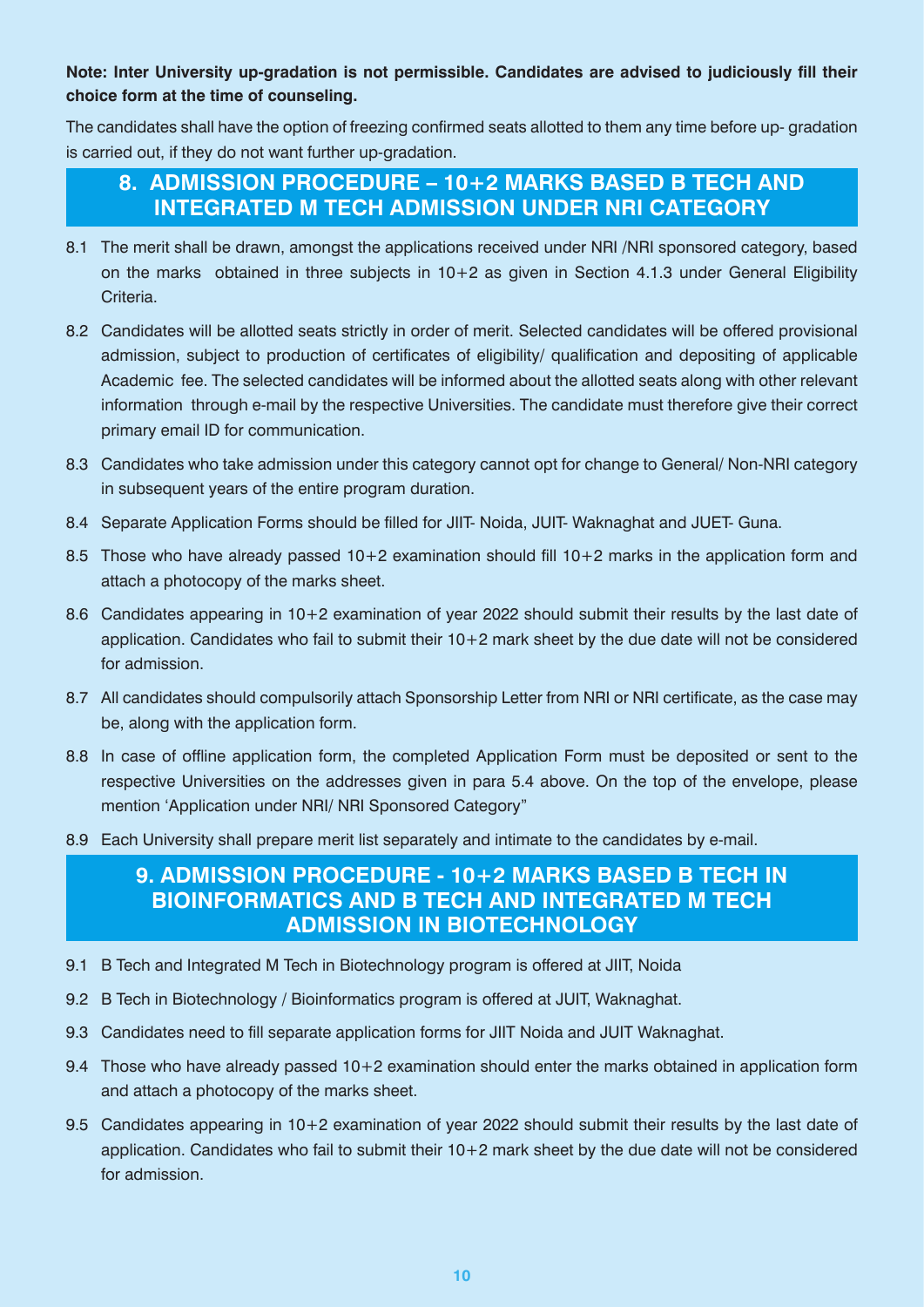### **Note: Inter University up-gradation is not permissible. Candidates are advised to judiciously fill their choice form at the time of counseling.**

The candidates shall have the option of freezing confirmed seats allotted to them any time before up- gradation is carried out, if they do not want further up-gradation.

# **8. ADMISSION PROCEDURE – 10+2 MARKS BASED B TECH AND INTEGRATED M TECH ADMISSION UNDER NRI CATEGORY**

- 8.1 The merit shall be drawn, amongst the applications received under NRI /NRI sponsored category, based on the marks obtained in three subjects in 10+2 as given in Section 4.1.3 under General Eligibility Criteria.
- 8.2 Candidates will be allotted seats strictly in order of merit. Selected candidates will be offered provisional admission, subject to production of certificates of eligibility/ qualification and depositing of applicable Academic fee. The selected candidates will be informed about the allotted seats along with other relevant information through e-mail by the respective Universities. The candidate must therefore give their correct primary email ID for communication.
- 8.3 Candidates who take admission under this category cannot opt for change to General/ Non-NRI category in subsequent years of the entire program duration.
- 8.4 Separate Application Forms should be filled for JIIT- Noida, JUIT- Waknaghat and JUET- Guna.
- 8.5 Those who have already passed 10+2 examination should fill 10+2 marks in the application form and attach a photocopy of the marks sheet.
- 8.6 Candidates appearing in 10+2 examination of year 2022 should submit their results by the last date of application. Candidates who fail to submit their 10+2 mark sheet by the due date will not be considered for admission.
- 8.7 All candidates should compulsorily attach Sponsorship Letter from NRI or NRI certificate, as the case may be, along with the application form.
- 8.8 In case of offline application form, the completed Application Form must be deposited or sent to the respective Universities on the addresses given in para 5.4 above. On the top of the envelope, please mention 'Application under NRI/ NRI Sponsored Category"
- 8.9 Each University shall prepare merit list separately and intimate to the candidates by e-mail.

# **9. ADMISSION PROCEDURE - 10+2 MARKS BASED B TECH IN BIOINFORMATICS AND B TECH AND INTEGRATED M TECH ADMISSION IN BIOTECHNOLOGY**

- 9.1 B Tech and Integrated M Tech in Biotechnology program is offered at JIIT, Noida
- 9.2 B Tech in Biotechnology / Bioinformatics program is offered at JUIT, Waknaghat.
- 9.3 Candidates need to fill separate application forms for JIIT Noida and JUIT Waknaghat.
- 9.4 Those who have already passed 10+2 examination should enter the marks obtained in application form and attach a photocopy of the marks sheet.
- 9.5 Candidates appearing in 10+2 examination of year 2022 should submit their results by the last date of application. Candidates who fail to submit their 10+2 mark sheet by the due date will not be considered for admission.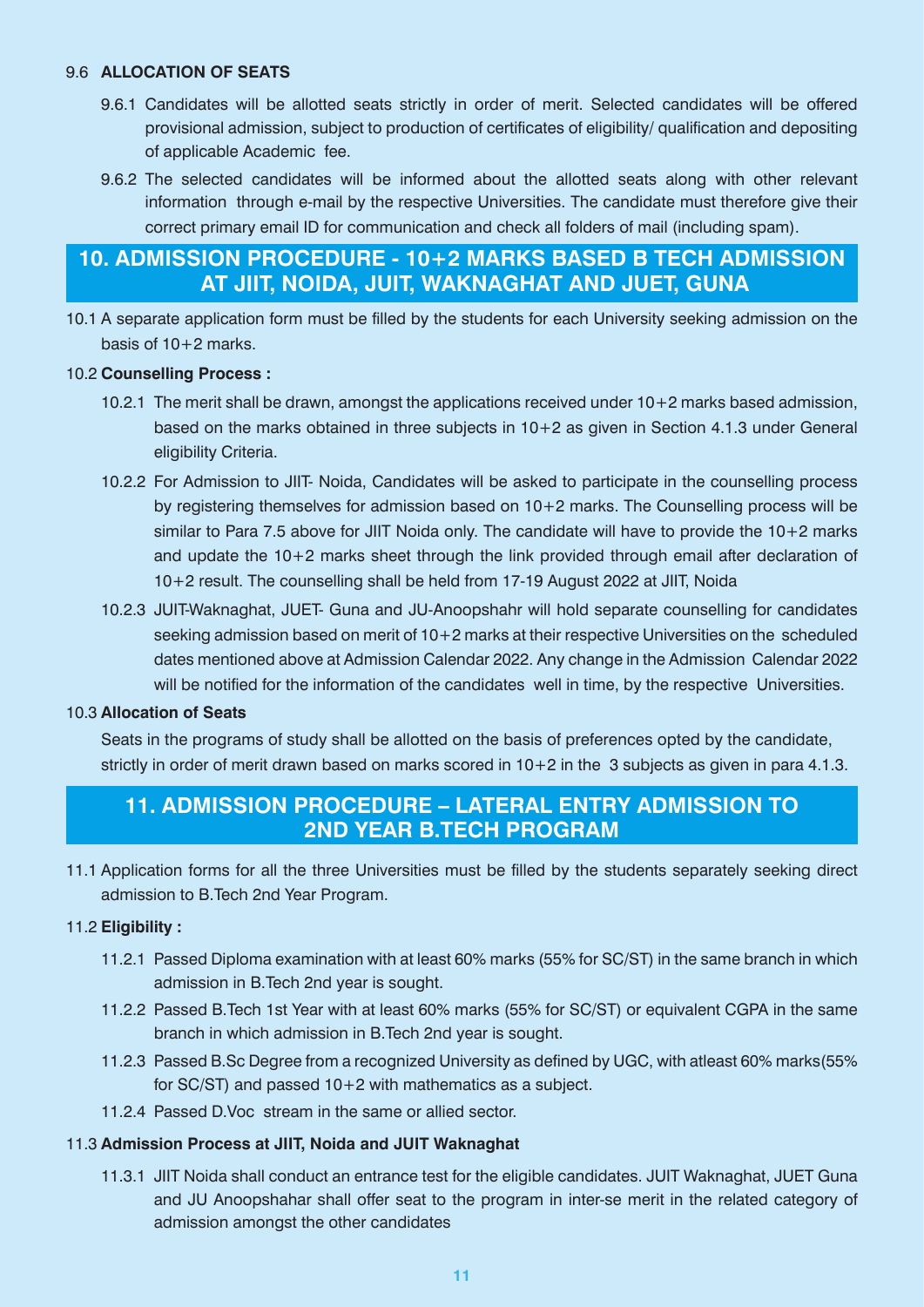#### 9.6 **ALLOCATION OF SEATS**

- 9.6.1 Candidates will be allotted seats strictly in order of merit. Selected candidates will be offered provisional admission, subject to production of certificates of eligibility/ qualification and depositing of applicable Academic fee.
- 9.6.2 The selected candidates will be informed about the allotted seats along with other relevant information through e-mail by the respective Universities. The candidate must therefore give their correct primary email ID for communication and check all folders of mail (including spam).

# **10. ADMISSION PROCEDURE - 10+2 MARKS BASED B TECH ADMISSION AT JIIT, NOIDA, JUIT, WAKNAGHAT AND JUET, GUNA**

10.1 A separate application form must be filled by the students for each University seeking admission on the basis of 10+2 marks.

#### 10.2 **Counselling Process :**

- 10.2.1 The merit shall be drawn, amongst the applications received under 10+2 marks based admission, based on the marks obtained in three subjects in 10+2 as given in Section 4.1.3 under General eligibility Criteria.
- 10.2.2 For Admission to JIIT- Noida, Candidates will be asked to participate in the counselling process by registering themselves for admission based on 10+2 marks. The Counselling process will be similar to Para 7.5 above for JIIT Noida only. The candidate will have to provide the 10+2 marks and update the 10+2 marks sheet through the link provided through email after declaration of 10+2 result. The counselling shall be held from 17-19 August 2022 at JIIT, Noida
- 10.2.3 JUIT-Waknaghat, JUET- Guna and JU-Anoopshahr will hold separate counselling for candidates seeking admission based on merit of 10+2 marks at their respective Universities on the scheduled dates mentioned above at Admission Calendar 2022. Any change in the Admission Calendar 2022 will be notified for the information of the candidates well in time, by the respective Universities.

#### 10.3 **Allocation of Seats**

Seats in the programs of study shall be allotted on the basis of preferences opted by the candidate, strictly in order of merit drawn based on marks scored in 10+2 in the 3 subjects as given in para 4.1.3.

# **11. ADMISSION PROCEDURE – LATERAL ENTRY ADMISSION TO 2ND YEAR B.TECH PROGRAM**

11.1 Application forms for all the three Universities must be filled by the students separately seeking direct admission to B.Tech 2nd Year Program.

### 11.2 **Eligibility :**

- 11.2.1 Passed Diploma examination with at least 60% marks (55% for SC/ST) in the same branch in which admission in B.Tech 2nd year is sought.
- 11.2.2 Passed B.Tech 1st Year with at least 60% marks (55% for SC/ST) or equivalent CGPA in the same branch in which admission in B.Tech 2nd year is sought.
- 11.2.3 Passed B.Sc Degree from a recognized University as defined by UGC, with atleast 60% marks(55% for SC/ST) and passed 10+2 with mathematics as a subject.
- 11.2.4 Passed D.Voc stream in the same or allied sector.

### 11.3 **Admission Process at JIIT, Noida and JUIT Waknaghat**

11.3.1 JIIT Noida shall conduct an entrance test for the eligible candidates. JUIT Waknaghat, JUET Guna and JU Anoopshahar shall offer seat to the program in inter-se merit in the related category of admission amongst the other candidates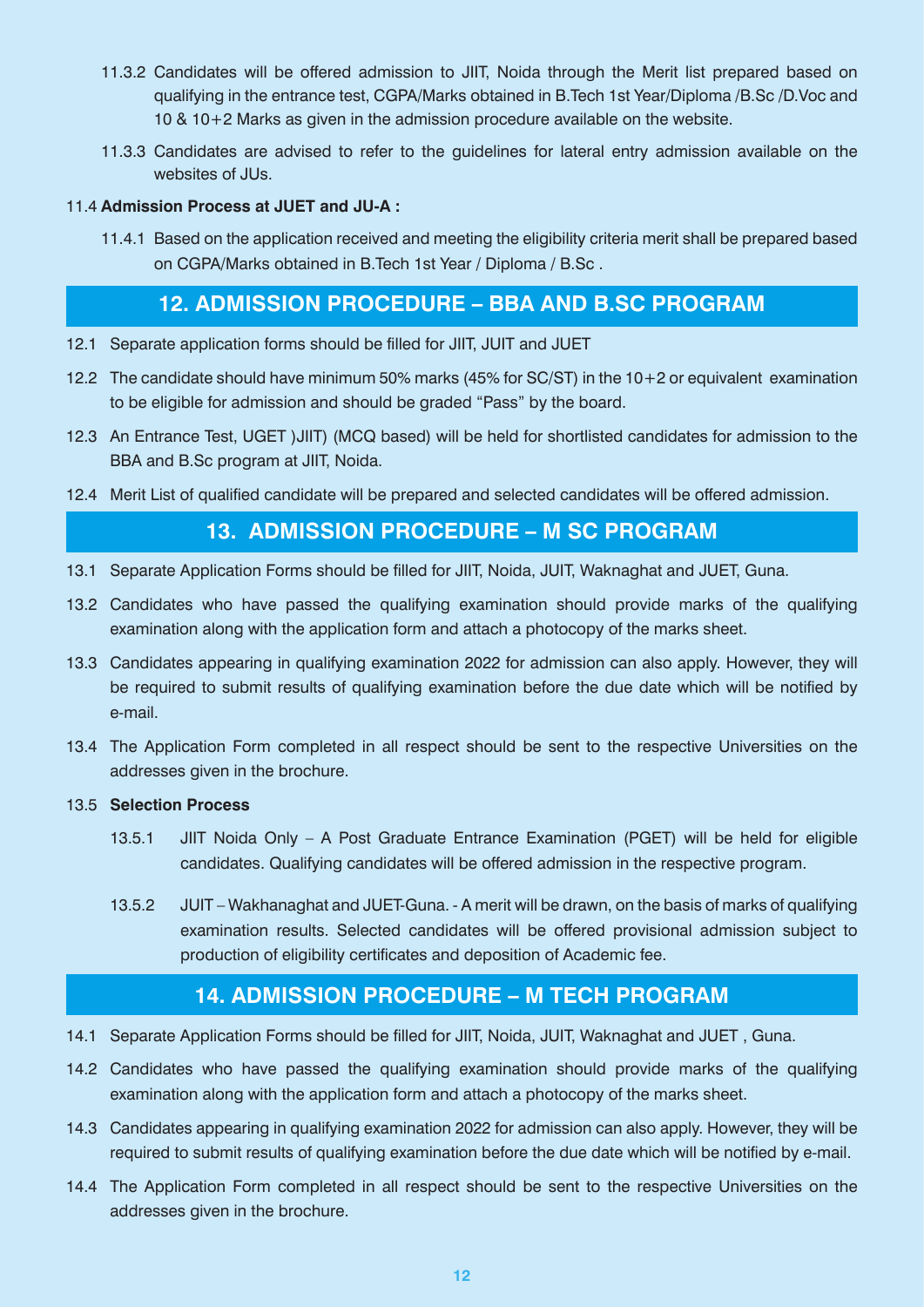- 11.3.2 Candidates will be offered admission to JIIT, Noida through the Merit list prepared based on qualifying in the entrance test, CGPA/Marks obtained in B.Tech 1st Year/Diploma /B.Sc /D.Voc and 10 & 10+2 Marks as given in the admission procedure available on the website.
- 11.3.3 Candidates are advised to refer to the guidelines for lateral entry admission available on the websites of JUs.

#### 11.4 **Admission Process at JUET and JU-A :**

11.4.1 Based on the application received and meeting the eligibility criteria merit shall be prepared based on CGPA/Marks obtained in B.Tech 1st Year / Diploma / B.Sc .

# **12. ADMISSION PROCEDURE – BBA AND B.SC PROGRAM**

- 12.1 Separate application forms should be filled for JIIT, JUIT and JUET
- 12.2 The candidate should have minimum 50% marks (45% for SC/ST) in the 10+2 or equivalent examination to be eligible for admission and should be graded "Pass" by the board.
- 12.3 An Entrance Test, UGET )JIIT) (MCQ based) will be held for shortlisted candidates for admission to the BBA and B.Sc program at JIIT, Noida.
- 12.4 Merit List of qualified candidate will be prepared and selected candidates will be offered admission.

# **13. ADMISSION PROCEDURE – M SC PROGRAM**

- 13.1 Separate Application Forms should be filled for JIIT, Noida, JUIT, Waknaghat and JUET, Guna.
- 13.2 Candidates who have passed the qualifying examination should provide marks of the qualifying examination along with the application form and attach a photocopy of the marks sheet.
- 13.3 Candidates appearing in qualifying examination 2022 for admission can also apply. However, they will be required to submit results of qualifying examination before the due date which will be notified by e-mail.
- 13.4 The Application Form completed in all respect should be sent to the respective Universities on the addresses given in the brochure.

#### 13.5 **Selection Process**

- 13.5.1 JIIT Noida Only A Post Graduate Entrance Examination (PGET) will be held for eligible candidates. Qualifying candidates will be offered admission in the respective program.
- 13.5.2 JUIT Wakhanaghat and JUET-Guna. A merit will be drawn, on the basis of marks of qualifying examination results. Selected candidates will be offered provisional admission subject to production of eligibility certificates and deposition of Academic fee.

# **14. ADMISSION PROCEDURE – M TECH PROGRAM**

- 14.1 Separate Application Forms should be filled for JIIT, Noida, JUIT, Waknaghat and JUET , Guna.
- 14.2 Candidates who have passed the qualifying examination should provide marks of the qualifying examination along with the application form and attach a photocopy of the marks sheet.
- 14.3 Candidates appearing in qualifying examination 2022 for admission can also apply. However, they will be required to submit results of qualifying examination before the due date which will be notified by e-mail.
- 14.4 The Application Form completed in all respect should be sent to the respective Universities on the addresses given in the brochure.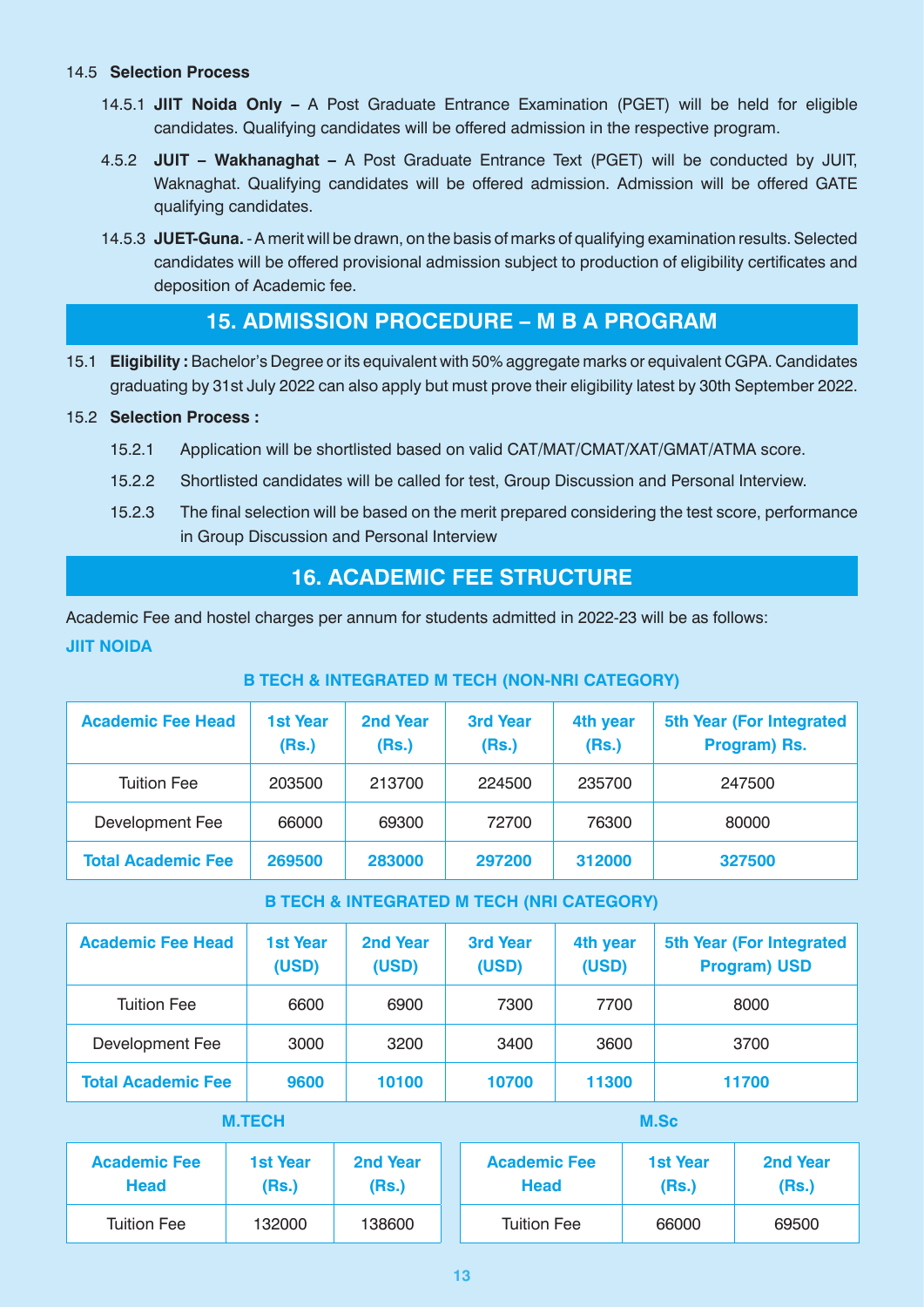#### 14.5 **Selection Process**

- 14.5.1 **JIIT Noida Only –** A Post Graduate Entrance Examination (PGET) will be held for eligible candidates. Qualifying candidates will be offered admission in the respective program.
- 4.5.2 **JUIT Wakhanaghat** A Post Graduate Entrance Text (PGET) will be conducted by JUIT, Waknaghat. Qualifying candidates will be offered admission. Admission will be offered GATE qualifying candidates.
- 14.5.3 **JUET-Guna.**  A merit will be drawn, on the basis of marks of qualifying examination results. Selected candidates will be offered provisional admission subject to production of eligibility certificates and deposition of Academic fee.

# **15. ADMISSION PROCEDURE – M B A PROGRAM**

15.1 **Eligibility :** Bachelor's Degree or its equivalent with 50% aggregate marks or equivalent CGPA. Candidates graduating by 31st July 2022 can also apply but must prove their eligibility latest by 30th September 2022.

#### 15.2 **Selection Process :**

- 15.2.1 Application will be shortlisted based on valid CAT/MAT/CMAT/XAT/GMAT/ATMA score.
- 15.2.2 Shortlisted candidates will be called for test, Group Discussion and Personal Interview.
- 15.2.3 The final selection will be based on the merit prepared considering the test score, performance in Group Discussion and Personal Interview

# **16. ACADEMIC FEE STRUCTURE**

Academic Fee and hostel charges per annum for students admitted in 2022-23 will be as follows: **JIIT NOIDA**

### **B TECH & INTEGRATED M TECH (NON-NRI CATEGORY)**

| <b>Academic Fee Head</b>  | <b>1st Year</b><br>(Rs.) | 2nd Year<br>(Rs.) | <b>3rd Year</b><br>(Rs.) | 4th year<br>(Rs.) | <b>5th Year (For Integrated)</b><br>Program) Rs. |
|---------------------------|--------------------------|-------------------|--------------------------|-------------------|--------------------------------------------------|
| <b>Tuition Fee</b>        | 203500                   | 213700            | 224500                   | 235700            | 247500                                           |
| Development Fee           | 66000                    | 69300             | 72700                    | 76300             | 80000                                            |
| <b>Total Academic Fee</b> | 269500                   | 283000            | 297200                   | 312000            | 327500                                           |

### **B TECH & INTEGRATED M TECH (NRI CATEGORY)**

| <b>Academic Fee Head</b>  | <b>1st Year</b><br>(USD) | 2nd Year<br>(USD) | <b>3rd Year</b><br>(USD) | 4th year<br>(USD) | 5th Year (For Integrated<br><b>Program) USD</b> |
|---------------------------|--------------------------|-------------------|--------------------------|-------------------|-------------------------------------------------|
| <b>Tuition Fee</b>        | 6600                     | 6900              | 7300                     | 7700              | 8000                                            |
| Development Fee           | 3000                     | 3200              | 3400                     | 3600              | 3700                                            |
| <b>Total Academic Fee</b> | 9600                     | 10100             | 10700                    | 11300             | 11700                                           |

### **M.TECH**

| <b>Academic Fee</b> | <b>1st Year</b> | 2nd Year | <b>Academic Fee</b> | <b>1st Year</b> | <b>2nd Year</b> |
|---------------------|-----------------|----------|---------------------|-----------------|-----------------|
| <b>Head</b>         | (Rs.)           | (Rs.)    | <b>Head</b>         | (Rs.)           | (Rs.)           |
| <b>Tuition Fee</b>  | 132000          | 138600   | <b>Tuition Fee</b>  | 66000           | 69500           |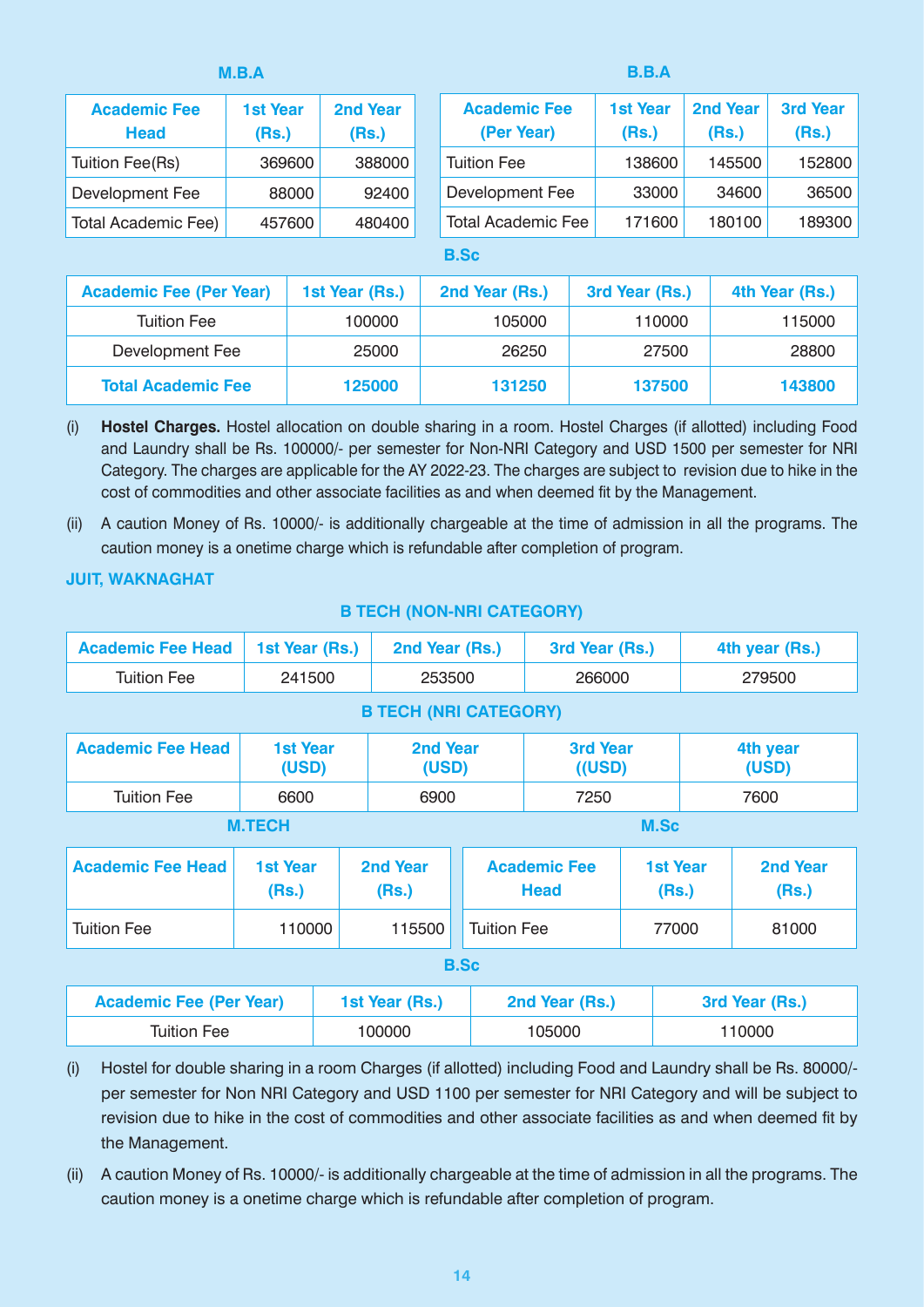| M.B.A                              |                          |                          |  | <b>B.B.A</b>                      |                          |                          |                          |  |  |
|------------------------------------|--------------------------|--------------------------|--|-----------------------------------|--------------------------|--------------------------|--------------------------|--|--|
| <b>Academic Fee</b><br><b>Head</b> | <b>1st Year</b><br>(Rs.) | <b>2nd Year</b><br>(Rs.) |  | <b>Academic Fee</b><br>(Per Year) | <b>1st Year</b><br>(Rs.) | <b>2nd Year</b><br>(Rs.) | <b>3rd Year</b><br>(Rs.) |  |  |
| Tuition Fee(Rs)                    | 369600                   | 388000                   |  | <b>Tuition Fee</b>                | 138600                   | 145500                   | 152800                   |  |  |
| Development Fee                    | 88000                    | 92400                    |  | Development Fee                   | 33000                    | 34600                    | 36500                    |  |  |
| <b>Total Academic Fee)</b>         | 457600                   | 480400                   |  | <b>Total Academic Fee</b>         | 171600                   | 180100                   | 189300                   |  |  |
|                                    |                          |                          |  |                                   |                          |                          |                          |  |  |

#### **B.Sc**

| <b>Academic Fee (Per Year)</b> | 1st Year (Rs.) | 2nd Year (Rs.) | 3rd Year (Rs.) | 4th Year (Rs.) |
|--------------------------------|----------------|----------------|----------------|----------------|
| <b>Tuition Fee</b>             | 100000         | 105000         | 110000         | 115000         |
| Development Fee                | 25000          | 26250          | 27500          | 28800          |
| <b>Total Academic Fee</b>      | 125000         | 131250         | 137500         | 143800         |

- (i) **Hostel Charges.** Hostel allocation on double sharing in a room. Hostel Charges (if allotted) including Food and Laundry shall be Rs. 100000/- per semester for Non-NRI Category and USD 1500 per semester for NRI Category. The charges are applicable for the AY 2022-23. The charges are subject to revision due to hike in the cost of commodities and other associate facilities as and when deemed fit by the Management.
- (ii) A caution Money of Rs. 10000/- is additionally chargeable at the time of admission in all the programs. The caution money is a onetime charge which is refundable after completion of program.

#### **JUIT, WAKNAGHAT**

| <b>Academic Fee Head</b>     | 1st Year (Rs.)           | 2nd Year (Rs.)    |  | 3rd Year (Rs.)                     |  | 4th year (Rs.)           |                   |  |
|------------------------------|--------------------------|-------------------|--|------------------------------------|--|--------------------------|-------------------|--|
| <b>Tuition Fee</b>           | 241500                   | 253500            |  | 266000                             |  | 279500                   |                   |  |
| <b>B TECH (NRI CATEGORY)</b> |                          |                   |  |                                    |  |                          |                   |  |
| <b>Academic Fee Head</b>     | <b>1st Year</b><br>(USD) | 2nd Year<br>(USD) |  | <b>3rd Year</b><br>$($ (USD)       |  | 4th year<br>(USD)        |                   |  |
| <b>Tuition Fee</b>           | 6600                     | 6900              |  | 7250                               |  | 7600                     |                   |  |
| <b>M.TECH</b><br>M.Sc        |                          |                   |  |                                    |  |                          |                   |  |
| <b>Academic Fee Head</b>     | <b>1st Year</b><br>(Rs.) | 2nd Year<br>(Rs.) |  | <b>Academic Fee</b><br><b>Head</b> |  | <b>1st Year</b><br>(Rs.) | 2nd Year<br>(Rs.) |  |
| <b>Tuition Fee</b>           | 110000                   | 115500            |  | <b>Tuition Fee</b>                 |  | 77000                    | 81000             |  |
| <b>B.Sc</b>                  |                          |                   |  |                                    |  |                          |                   |  |

#### **B TECH (NON-NRI CATEGORY)**

| <b>Academic Fee (Per Year)</b> | 1st Year (Rs.) | 2nd Year (Rs.) | 3rd Year (Rs.) |
|--------------------------------|----------------|----------------|----------------|
| Tuition Fee                    | 100000         | 105000         | 110000         |

- (i) Hostel for double sharing in a room Charges (if allotted) including Food and Laundry shall be Rs. 80000/ per semester for Non NRI Category and USD 1100 per semester for NRI Category and will be subject to revision due to hike in the cost of commodities and other associate facilities as and when deemed fit by the Management.
- (ii) A caution Money of Rs. 10000/- is additionally chargeable at the time of admission in all the programs. The caution money is a onetime charge which is refundable after completion of program.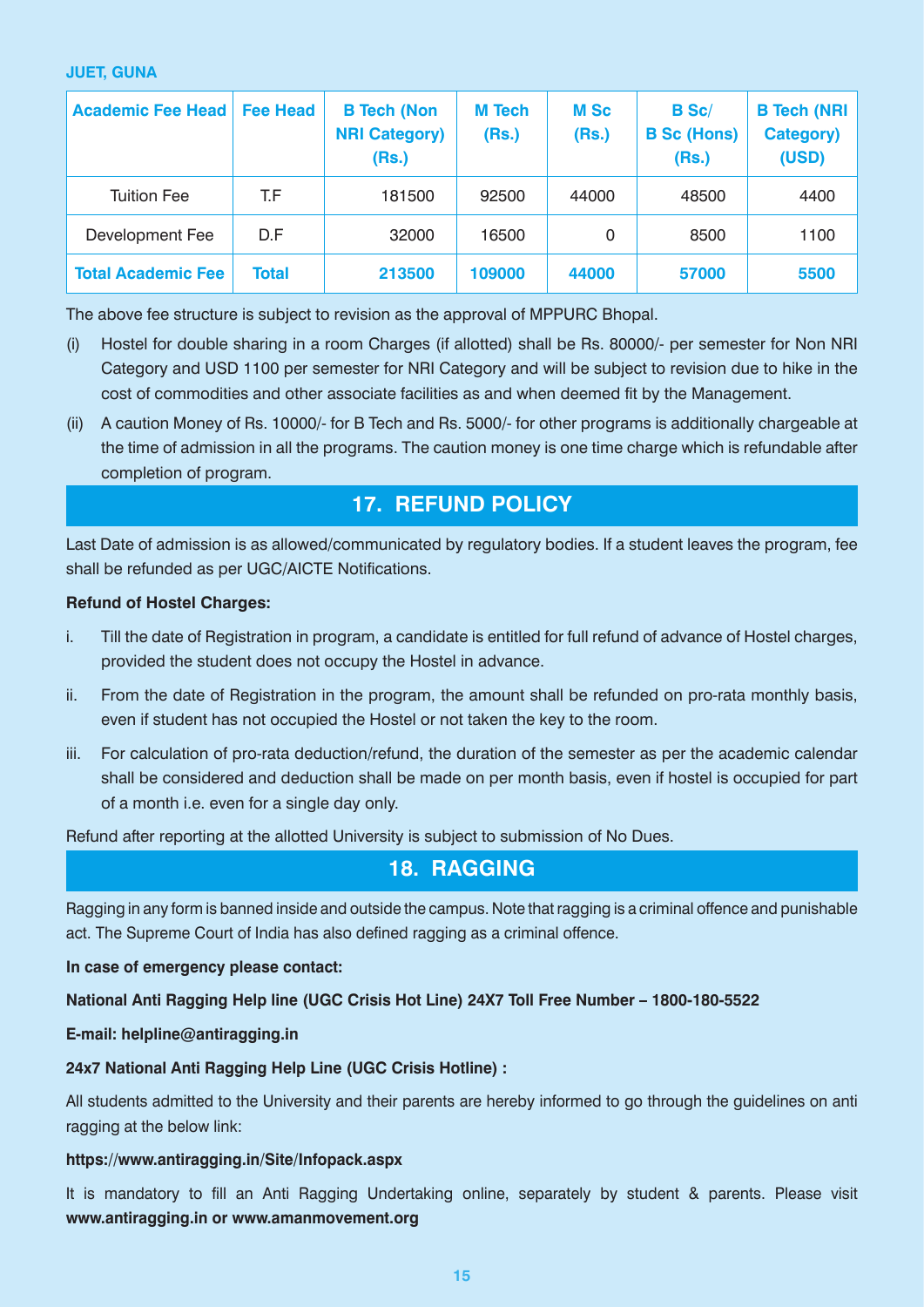#### **JUET, GUNA**

| <b>Academic Fee Head</b>  | Fee Head | <b>B Tech (Non</b><br><b>NRI Category)</b><br>(Rs.) | <b>M</b> Tech<br>(Rs.) | <b>M</b> Sc<br>(Rs.) | <b>B</b> Sc/<br><b>B Sc (Hons)</b><br>(Rs.) | <b>B Tech (NRI)</b><br><b>Category)</b><br>(USD) |
|---------------------------|----------|-----------------------------------------------------|------------------------|----------------------|---------------------------------------------|--------------------------------------------------|
| <b>Tuition Fee</b>        | T.F      | 181500                                              | 92500                  | 44000                | 48500                                       | 4400                                             |
| Development Fee           | D.F      | 32000                                               | 16500                  | $\Omega$             | 8500                                        | 1100                                             |
| <b>Total Academic Fee</b> | Total    | 213500                                              | 109000                 | 44000                | 57000                                       | 5500                                             |

The above fee structure is subject to revision as the approval of MPPURC Bhopal.

- (i) Hostel for double sharing in a room Charges (if allotted) shall be Rs. 80000/- per semester for Non NRI Category and USD 1100 per semester for NRI Category and will be subject to revision due to hike in the cost of commodities and other associate facilities as and when deemed fit by the Management.
- (ii) A caution Money of Rs. 10000/- for B Tech and Rs. 5000/- for other programs is additionally chargeable at the time of admission in all the programs. The caution money is one time charge which is refundable after completion of program.

# **17. REFUND POLICY**

Last Date of admission is as allowed/communicated by regulatory bodies. If a student leaves the program, fee shall be refunded as per UGC/AICTE Notifications.

#### **Refund of Hostel Charges:**

- i. Till the date of Registration in program, a candidate is entitled for full refund of advance of Hostel charges, provided the student does not occupy the Hostel in advance.
- ii. From the date of Registration in the program, the amount shall be refunded on pro-rata monthly basis, even if student has not occupied the Hostel or not taken the key to the room.
- iii. For calculation of pro-rata deduction/refund, the duration of the semester as per the academic calendar shall be considered and deduction shall be made on per month basis, even if hostel is occupied for part of a month i.e. even for a single day only.

Refund after reporting at the allotted University is subject to submission of No Dues.

# **18. RAGGING**

Ragging in any form is banned inside and outside the campus. Note that ragging is a criminal offence and punishable act. The Supreme Court of India has also defined ragging as a criminal offence.

#### **In case of emergency please contact:**

#### **National Anti Ragging Help line (UGC Crisis Hot Line) 24X7 Toll Free Number – 1800-180-5522**

#### **E-mail: helpline@antiragging.in**

#### **24x7 National Anti Ragging Help Line (UGC Crisis Hotline) :**

All students admitted to the University and their parents are hereby informed to go through the guidelines on anti ragging at the below link:

#### **https://www.antiragging.in/Site/Infopack.aspx**

It is mandatory to fill an Anti Ragging Undertaking online, separately by student & parents. Please visit **www.antiragging.in or www.amanmovement.org**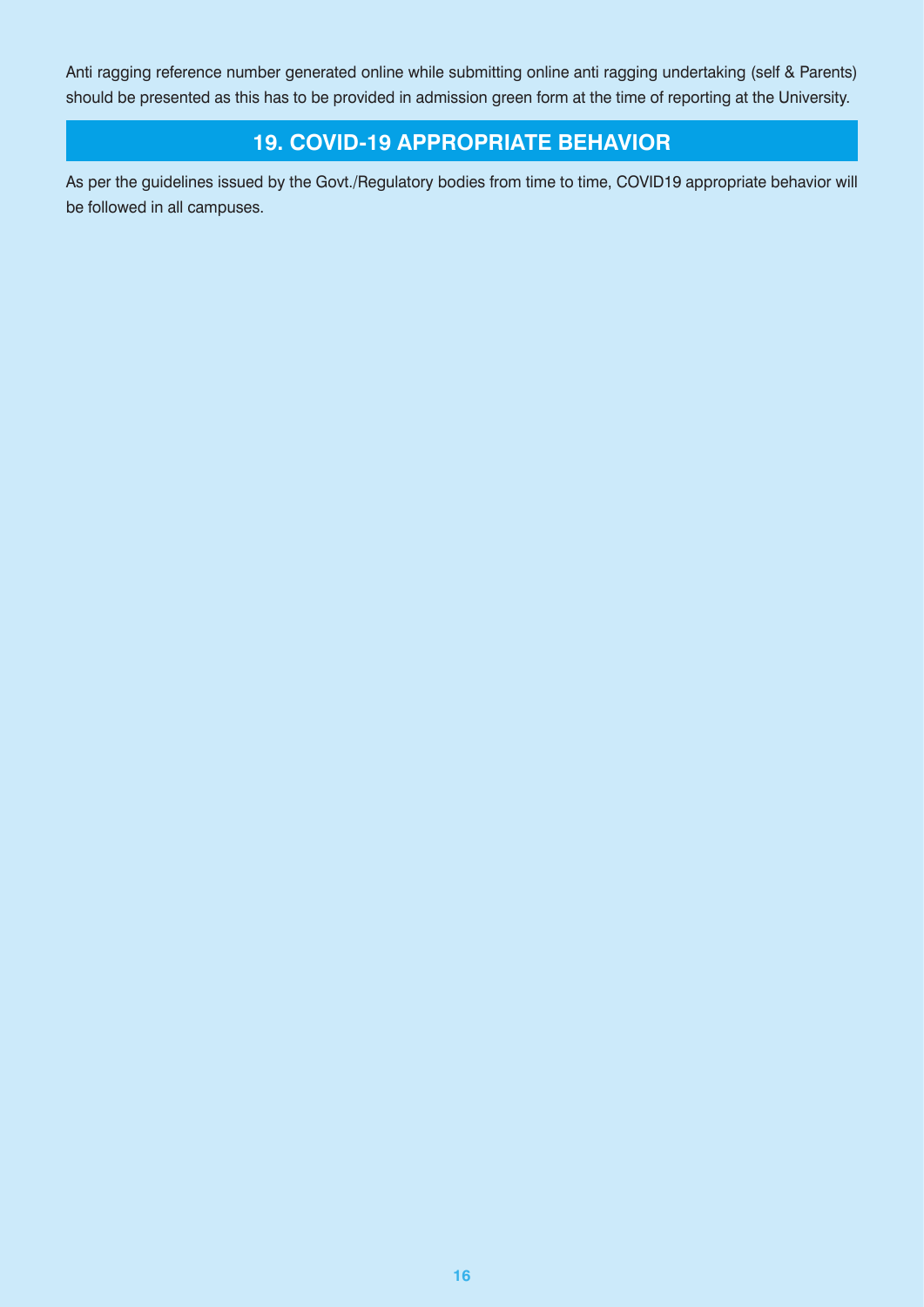Anti ragging reference number generated online while submitting online anti ragging undertaking (self & Parents) should be presented as this has to be provided in admission green form at the time of reporting at the University.

# **19. COVID-19 APPROPRIATE BEHAVIOR**

As per the guidelines issued by the Govt./Regulatory bodies from time to time, COVID19 appropriate behavior will be followed in all campuses.